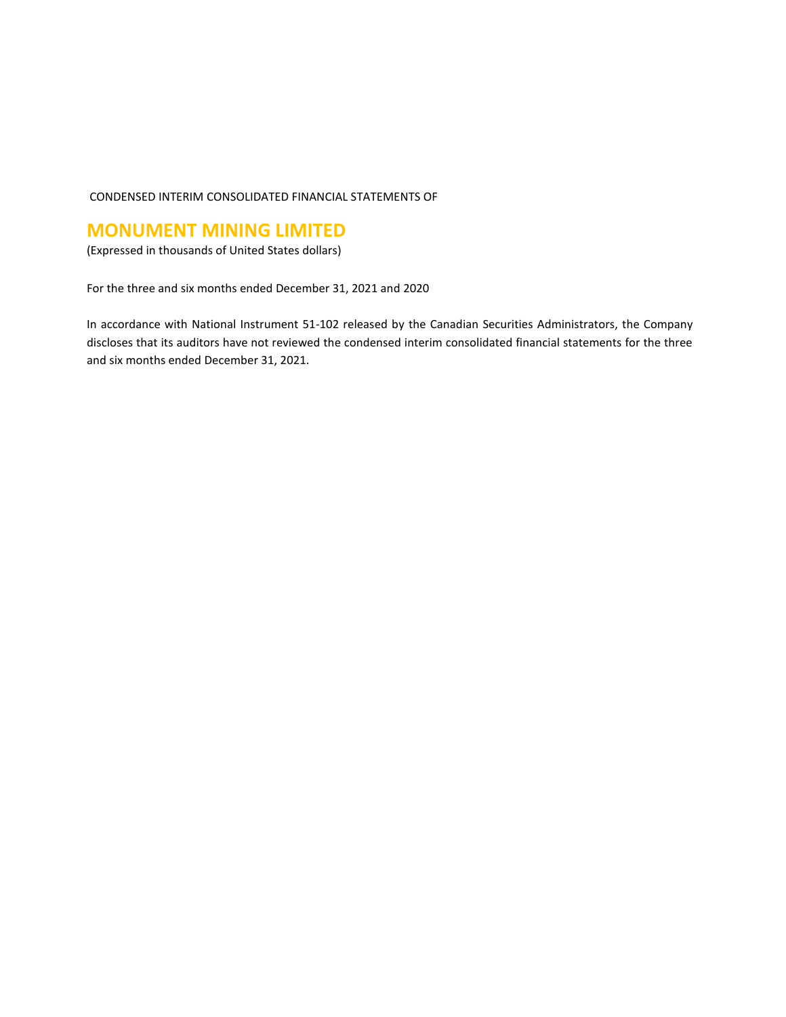# CONDENSED INTERIM CONSOLIDATED FINANCIAL STATEMENTS OF

# **MONUMENT MINING LIMITED**

(Expressed in thousands of United States dollars)

For the three and six months ended December 31, 2021 and 2020

In accordance with National Instrument 51-102 released by the Canadian Securities Administrators, the Company discloses that its auditors have not reviewed the condensed interim consolidated financial statements for the three and six months ended December 31, 2021.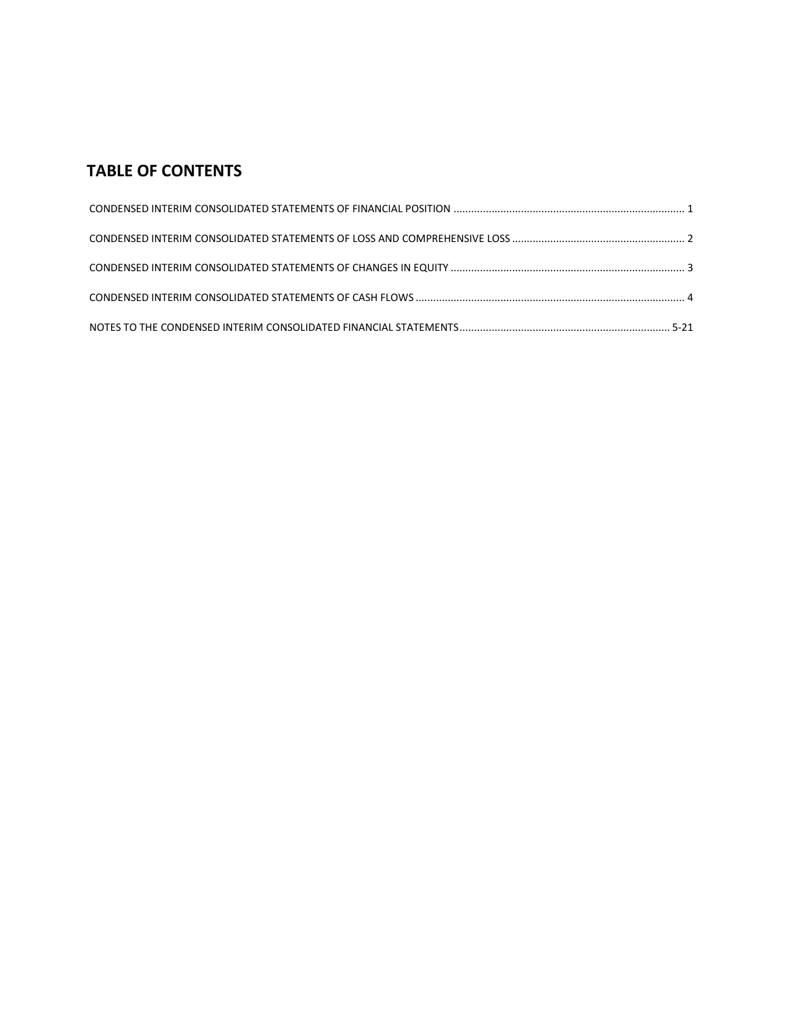# **TABLE OF CONTENTS**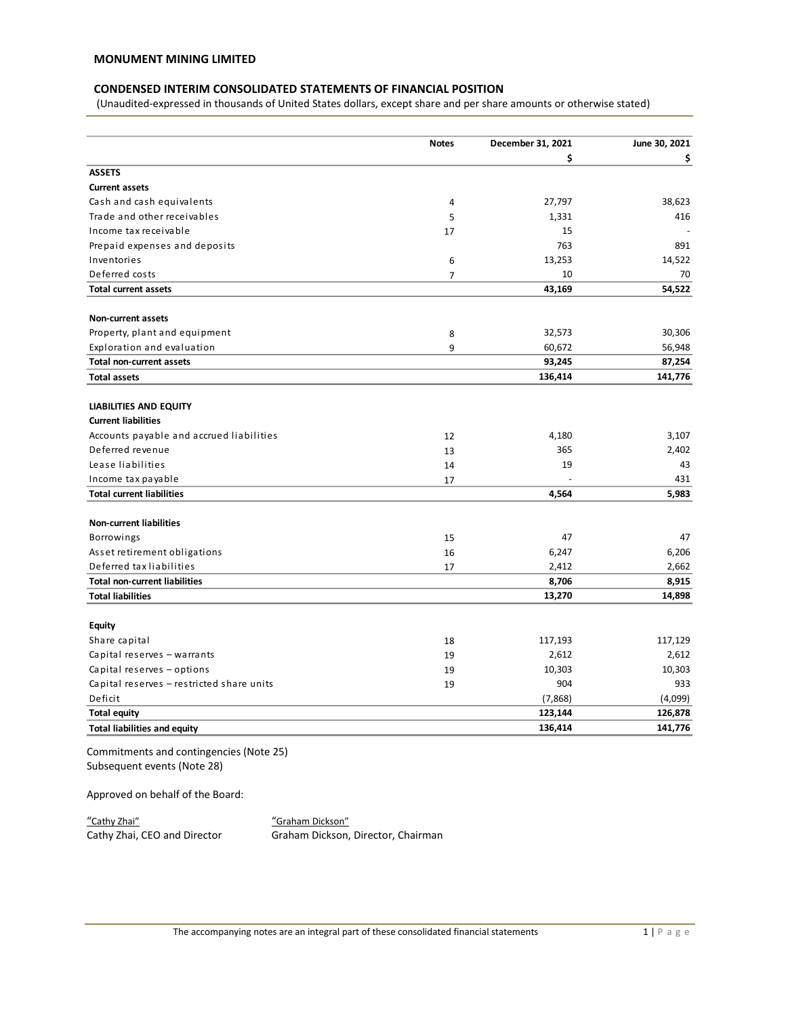# **CONDENSED INTERIM CONSOLIDATED STATEMENTS OF FINANCIAL POSITION**

(Unaudited-expressed in thousands of United States dollars, except share and per share amounts or otherwise stated)

|                                                          | <b>Notes</b>   | December 31, 2021 | June 30, 2021  |
|----------------------------------------------------------|----------------|-------------------|----------------|
|                                                          |                | \$                | \$             |
| <b>ASSETS</b>                                            |                |                   |                |
| <b>Current assets</b>                                    |                |                   |                |
| Cash and cash equivalents                                | 4              | 27,797            | 38,623         |
| Trade and other receivables                              | 5              | 1,331             | 416            |
| Income tax receivable                                    | 17             | 15                |                |
| Prepaid expenses and deposits                            |                | 763               | 891            |
| Inventories                                              | 6              | 13,253            | 14,522         |
| Deferred costs                                           | $\overline{7}$ | 10                | 70             |
| <b>Total current assets</b>                              |                | 43,169            | 54,522         |
| <b>Non-current assets</b>                                |                |                   |                |
| Property, plant and equipment                            | 8              | 32,573            | 30,306         |
| Exploration and evaluation                               | 9              | 60,672            | 56,948         |
| <b>Total non-current assets</b>                          |                | 93,245            | 87,254         |
| <b>Total assets</b>                                      |                | 136,414           | 141,776        |
| LIABILITIES AND EQUITY                                   |                |                   |                |
| <b>Current liabilities</b>                               |                |                   |                |
| Accounts payable and accrued liabilities                 | 12             | 4,180             | 3,107          |
| Deferred revenue                                         | 13             | 365               | 2,402          |
| Lease liabilities                                        | 14             | 19                | 43             |
| Income tax payable                                       | 17             |                   | 431            |
| <b>Total current liabilities</b>                         |                | 4,564             | 5,983          |
| <b>Non-current liabilities</b>                           |                |                   |                |
|                                                          |                | 47                | 47             |
| Borrowings                                               | 15             |                   | 6,206          |
| Asset retirement obligations<br>Deferred tax liabilities | 16             | 6,247             |                |
| <b>Total non-current liabilities</b>                     | 17             | 2,412<br>8,706    | 2,662<br>8,915 |
|                                                          |                |                   |                |
| <b>Total liabilities</b>                                 |                | 13,270            | 14,898         |
| <b>Equity</b>                                            |                |                   |                |
| Share capital                                            | 18             | 117,193           | 117,129        |
| Capital reserves - warrants                              | 19             | 2,612             | 2,612          |
| Capital reserves - options                               | 19             | 10,303            | 10,303         |
| Capital reserves - restricted share units                | 19             | 904               | 933            |
| Deficit                                                  |                | (7,868)           | (4,099)        |
| <b>Total equity</b>                                      |                | 123,144           | 126,878        |
| <b>Total liabilities and equity</b>                      |                | 136,414           | 141,776        |
|                                                          |                |                   |                |

Commitments and contingencies (Note 25) Subsequent events (Note 28)

Approved on behalf of the Board:

"Cathy Zhai" "Graham Dickson"

Graham Dickson, Director, Chairman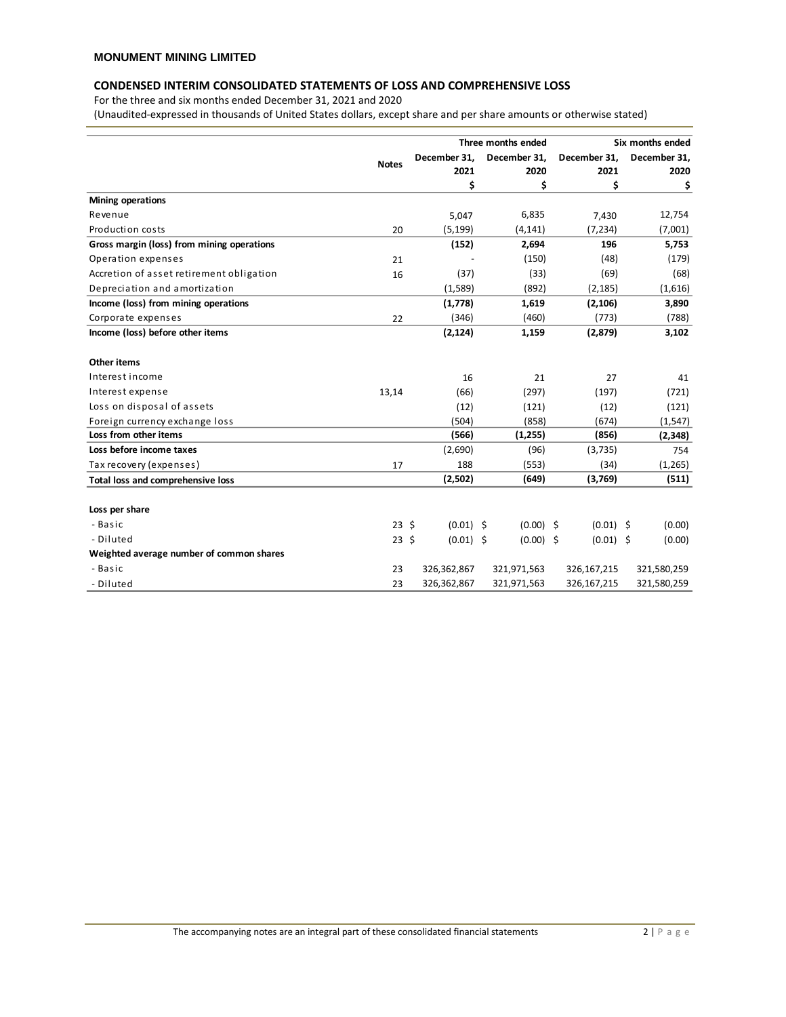# **CONDENSED INTERIM CONSOLIDATED STATEMENTS OF LOSS AND COMPREHENSIVE LOSS**

For the three and six months ended December 31, 2021 and 2020

(Unaudited-expressed in thousands of United States dollars, except share and per share amounts or otherwise stated)

|                                            |                 |  |              | Three months ended |              | Six months ended |
|--------------------------------------------|-----------------|--|--------------|--------------------|--------------|------------------|
|                                            |                 |  | December 31. | December 31.       | December 31. | December 31,     |
|                                            | <b>Notes</b>    |  | 2021         | 2020               | 2021         | 2020             |
|                                            |                 |  | \$           | \$                 | \$           | \$               |
| <b>Mining operations</b>                   |                 |  |              |                    |              |                  |
| Revenue                                    |                 |  | 5,047        | 6,835              | 7,430        | 12,754           |
| Production costs                           | 20              |  | (5, 199)     | (4, 141)           | (7, 234)     | (7,001)          |
| Gross margin (loss) from mining operations |                 |  | (152)        | 2,694              | 196          | 5,753            |
| Operation expenses                         | 21              |  |              | (150)              | (48)         | (179)            |
| Accretion of asset retirement obligation   | 16              |  | (37)         | (33)               | (69)         | (68)             |
| Depreciation and amortization              |                 |  | (1,589)      | (892)              | (2, 185)     | (1,616)          |
| Income (loss) from mining operations       |                 |  | (1,778)      | 1,619              | (2, 106)     | 3,890            |
| Corporate expenses                         | 22              |  | (346)        | (460)              | (773)        | (788)            |
| Income (loss) before other items           |                 |  | (2, 124)     | 1,159              | (2,879)      | 3,102            |
| Other items                                |                 |  |              |                    |              |                  |
| Interest income                            |                 |  | 16           | 21                 | 27           | 41               |
| Interest expense                           | 13,14           |  | (66)         | (297)              | (197)        | (721)            |
| Loss on disposal of assets                 |                 |  | (12)         | (121)              | (12)         | (121)            |
| Foreign currency exchange loss             |                 |  | (504)        | (858)              | (674)        | (1, 547)         |
| Loss from other items                      |                 |  | (566)        | (1, 255)           | (856)        | (2, 348)         |
| Loss before income taxes                   |                 |  | (2,690)      | (96)               | (3,735)      | 754              |
| Tax recovery (expenses)                    | 17              |  | 188          | (553)              | (34)         | (1, 265)         |
| <b>Total loss and comprehensive loss</b>   |                 |  | (2,502)      | (649)              | (3,769)      | (511)            |
| Loss per share                             |                 |  |              |                    |              |                  |
| - Basic                                    | 23 <sub>5</sub> |  | $(0.01)$ \$  | $(0.00)$ \$        | $(0.01)$ \$  | (0.00)           |
| - Diluted                                  | $23 \;$ \$      |  | $(0.01)$ \$  | $(0.00)$ \$        | $(0.01)$ \$  | (0.00)           |
| Weighted average number of common shares   |                 |  |              |                    |              |                  |
| - Basic                                    | 23              |  | 326,362,867  | 321,971,563        | 326,167,215  | 321,580,259      |
| - Diluted                                  | 23              |  | 326,362,867  | 321,971,563        | 326,167,215  | 321,580,259      |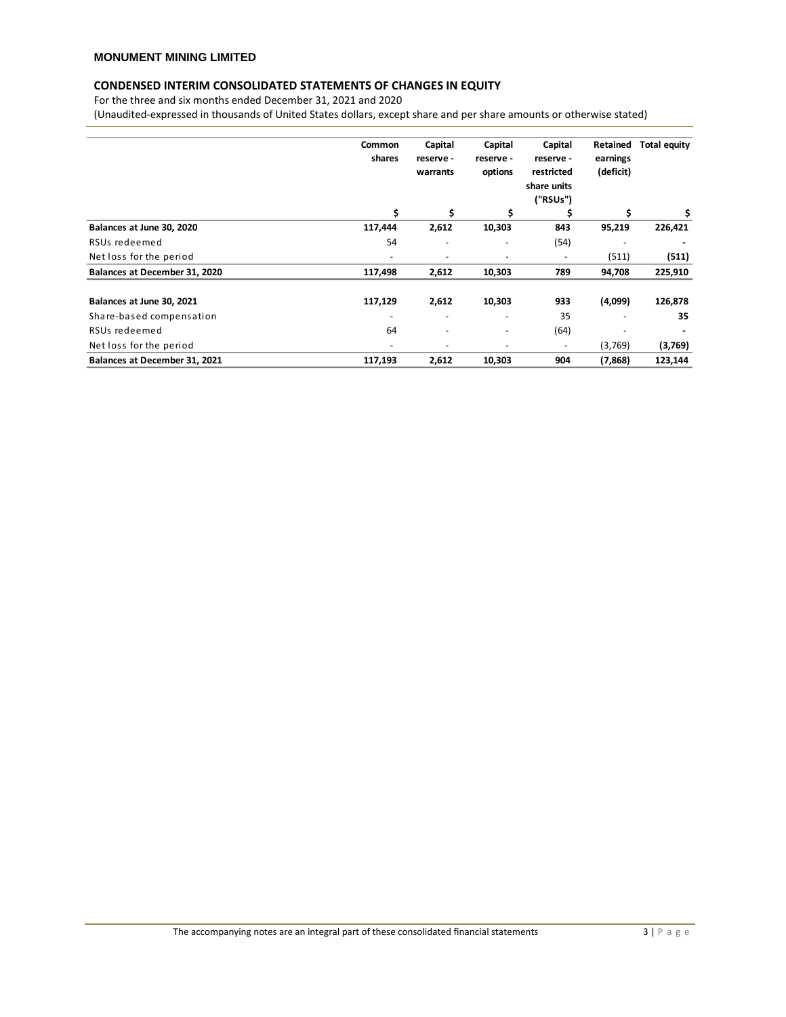# **CONDENSED INTERIM CONSOLIDATED STATEMENTS OF CHANGES IN EQUITY**

For the three and six months ended December 31, 2021 and 2020

(Unaudited-expressed in thousands of United States dollars, except share and per share amounts or otherwise stated)

|                               | <b>Common</b><br>shares  | Capital<br>reserve -<br>warrants | Capital<br>reserve -<br>options | Capital<br>reserve -<br>restricted<br>share units<br>("RSUs") | Retained<br>earnings<br>(deficit) | <b>Total equity</b> |
|-------------------------------|--------------------------|----------------------------------|---------------------------------|---------------------------------------------------------------|-----------------------------------|---------------------|
|                               | \$                       | \$                               | \$                              | S                                                             | \$                                | \$                  |
| Balances at June 30, 2020     | 117,444                  | 2,612                            | 10,303                          | 843                                                           | 95,219                            | 226,421             |
| RSUs redeemed                 | 54                       | $\overline{\phantom{a}}$         |                                 | (54)                                                          |                                   |                     |
| Net loss for the period       |                          | ٠                                |                                 |                                                               | (511)                             | (511)               |
| Balances at December 31, 2020 | 117,498                  | 2,612                            | 10,303                          | 789                                                           | 94,708                            | 225,910             |
| Balances at June 30, 2021     | 117,129                  | 2,612                            | 10,303                          | 933                                                           | (4,099)                           | 126,878             |
| Share-based compensation      |                          | $\overline{\phantom{a}}$         |                                 | 35                                                            |                                   | 35                  |
| RSUs redeemed                 | 64                       | $\overline{\phantom{a}}$         |                                 | (64)                                                          |                                   |                     |
| Net loss for the period       | $\overline{\phantom{a}}$ | $\overline{\phantom{a}}$         |                                 | $\overline{\phantom{0}}$                                      | (3,769)                           | (3,769)             |
| Balances at December 31, 2021 | 117,193                  | 2,612                            | 10,303                          | 904                                                           | (7, 868)                          | 123,144             |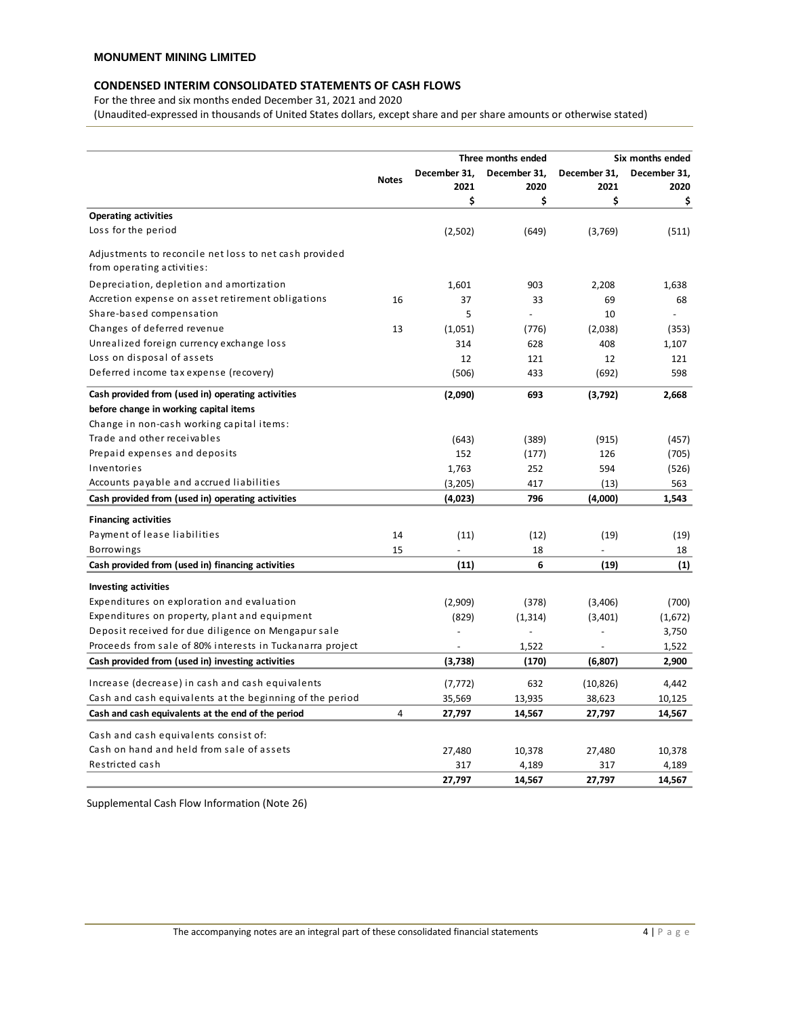# **CONDENSED INTERIM CONSOLIDATED STATEMENTS OF CASH FLOWS**

For the three and six months ended December 31, 2021 and 2020

(Unaudited-expressed in thousands of United States dollars, except share and per share amounts or otherwise stated)

|                                                           |              |                | Three months ended |                | Six months ended |
|-----------------------------------------------------------|--------------|----------------|--------------------|----------------|------------------|
|                                                           | <b>Notes</b> | December 31.   | December 31,       | December 31,   | December 31,     |
|                                                           |              | 2021           | 2020               | 2021           | 2020             |
|                                                           |              | \$             | \$                 | \$             | \$               |
| <b>Operating activities</b>                               |              |                |                    |                |                  |
| Loss for the period                                       |              | (2,502)        | (649)              | (3,769)        | (511)            |
| Adjustments to reconcile net loss to net cash provided    |              |                |                    |                |                  |
| from operating activities:                                |              |                |                    |                |                  |
| Depreciation, depletion and amortization                  |              | 1,601          | 903                | 2,208          | 1,638            |
| Accretion expense on asset retirement obligations         | 16           | 37             | 33                 | 69             | 68               |
| Share-based compensation                                  |              | 5              |                    | 10             |                  |
| Changes of deferred revenue                               | 13           | (1,051)        | (776)              | (2,038)        | (353)            |
| Unrealized foreign currency exchange loss                 |              | 314            | 628                | 408            | 1,107            |
| Loss on disposal of assets                                |              | 12             | 121                | 12             | 121              |
| Deferred income tax expense (recovery)                    |              | (506)          | 433                | (692)          | 598              |
| Cash provided from (used in) operating activities         |              | (2,090)        | 693                | (3,792)        | 2,668            |
| before change in working capital items                    |              |                |                    |                |                  |
| Change in non-cash working capital items:                 |              |                |                    |                |                  |
| Trade and other receivables                               |              | (643)          | (389)              | (915)          | (457)            |
| Prepaid expenses and deposits                             |              | 152            | (177)              | 126            | (705)            |
| Inventories                                               |              | 1,763          | 252                | 594            | (526)            |
| Accounts payable and accrued liabilities                  |              | (3,205)        | 417                | (13)           | 563              |
| Cash provided from (used in) operating activities         |              | (4,023)        | 796                | (4,000)        | 1,543            |
| <b>Financing activities</b>                               |              |                |                    |                |                  |
| Payment of lease liabilities                              | 14           | (11)           | (12)               | (19)           | (19)             |
| Borrowings                                                | 15           |                | 18                 |                | 18               |
| Cash provided from (used in) financing activities         |              | (11)           | 6                  | (19)           | (1)              |
| <b>Investing activities</b>                               |              |                |                    |                |                  |
| Expenditures on exploration and evaluation                |              | (2,909)        | (378)              | (3,406)        | (700)            |
| Expenditures on property, plant and equipment             |              | (829)          | (1, 314)           | (3,401)        | (1,672)          |
| Deposit received for due diligence on Mengapur sale       |              |                |                    |                | 3,750            |
| Proceeds from sale of 80% interests in Tuckanarra project |              | $\overline{a}$ | 1,522              | $\overline{a}$ | 1,522            |
| Cash provided from (used in) investing activities         |              | (3,738)        | (170)              | (6,807)        | 2,900            |
| Increase (decrease) in cash and cash equivalents          |              | (7, 772)       | 632                | (10, 826)      | 4,442            |
| Cash and cash equivalents at the beginning of the period  |              | 35,569         | 13,935             | 38,623         | 10,125           |
| Cash and cash equivalents at the end of the period        | 4            | 27,797         | 14,567             | 27,797         | 14,567           |
|                                                           |              |                |                    |                |                  |
| Cash and cash equivalents consist of:                     |              |                |                    |                |                  |
| Cash on hand and held from sale of assets                 |              | 27,480         | 10,378             | 27,480         | 10,378           |
| Restricted cash                                           |              | 317<br>27,797  | 4,189<br>14,567    | 317<br>27,797  | 4,189<br>14,567  |

Supplemental Cash Flow Information (Note 26)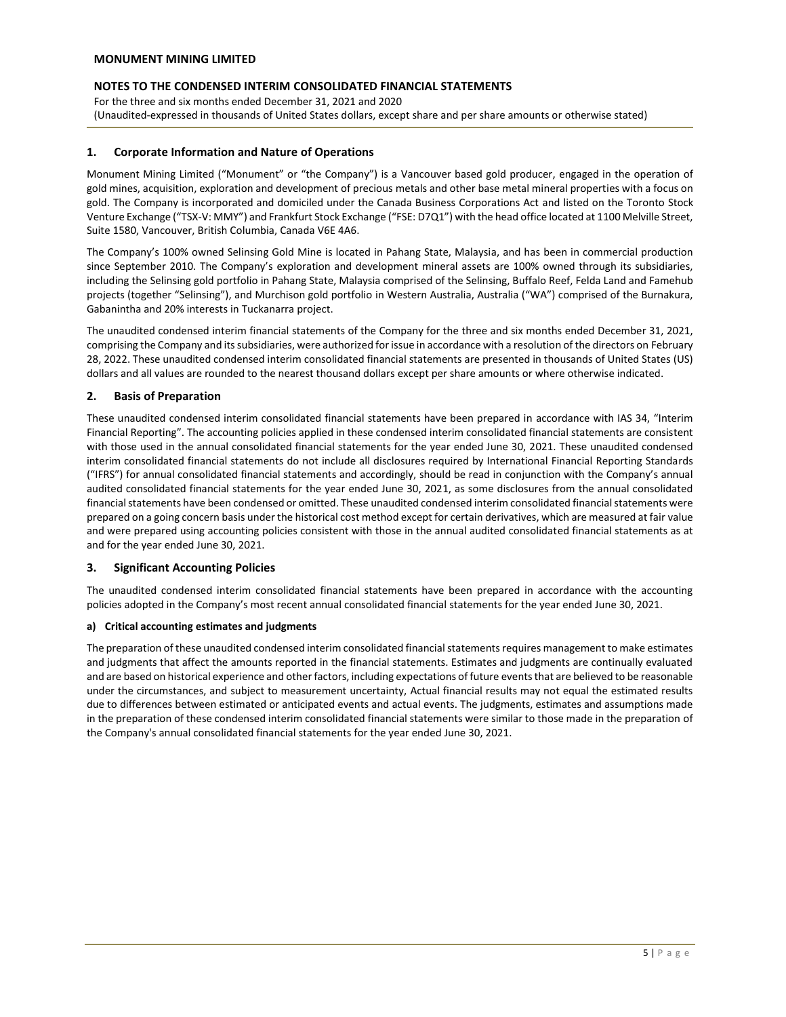For the three and six months ended December 31, 2021 and 2020 (Unaudited-expressed in thousands of United States dollars, except share and per share amounts or otherwise stated)

# **1. Corporate Information and Nature of Operations**

Monument Mining Limited ("Monument" or "the Company") is a Vancouver based gold producer, engaged in the operation of gold mines, acquisition, exploration and development of precious metals and other base metal mineral properties with a focus on gold. The Company is incorporated and domiciled under the Canada Business Corporations Act and listed on the Toronto Stock Venture Exchange ("TSX-V: MMY") and Frankfurt Stock Exchange ("FSE: D7Q1") with the head office located at 1100 Melville Street, Suite 1580, Vancouver, British Columbia, Canada V6E 4A6.

The Company's 100% owned Selinsing Gold Mine is located in Pahang State, Malaysia, and has been in commercial production since September 2010. The Company's exploration and development mineral assets are 100% owned through its subsidiaries, including the Selinsing gold portfolio in Pahang State, Malaysia comprised of the Selinsing, Buffalo Reef, Felda Land and Famehub projects (together "Selinsing"), and Murchison gold portfolio in Western Australia, Australia ("WA") comprised of the Burnakura, Gabanintha and 20% interests in Tuckanarra project.

The unaudited condensed interim financial statements of the Company for the three and six months ended December 31, 2021, comprising the Company and its subsidiaries, were authorized for issue in accordance with a resolution of the directors on February 28, 2022. These unaudited condensed interim consolidated financial statements are presented in thousands of United States (US) dollars and all values are rounded to the nearest thousand dollars except per share amounts or where otherwise indicated.

# **2. Basis of Preparation**

These unaudited condensed interim consolidated financial statements have been prepared in accordance with IAS 34, "Interim Financial Reporting". The accounting policies applied in these condensed interim consolidated financial statements are consistent with those used in the annual consolidated financial statements for the year ended June 30, 2021. These unaudited condensed interim consolidated financial statements do not include all disclosures required by International Financial Reporting Standards ("IFRS") for annual consolidated financial statements and accordingly, should be read in conjunction with the Company's annual audited consolidated financial statements for the year ended June 30, 2021, as some disclosures from the annual consolidated financial statements have been condensed or omitted. These unaudited condensed interim consolidated financial statements were prepared on a going concern basis under the historical cost method except for certain derivatives, which are measured at fair value and were prepared using accounting policies consistent with those in the annual audited consolidated financial statements as at and for the year ended June 30, 2021.

# **3. Significant Accounting Policies**

The unaudited condensed interim consolidated financial statements have been prepared in accordance with the accounting policies adopted in the Company's most recent annual consolidated financial statements for the year ended June 30, 2021.

# **a) Critical accounting estimates and judgments**

The preparation of these unaudited condensed interim consolidated financial statements requires management to make estimates and judgments that affect the amounts reported in the financial statements. Estimates and judgments are continually evaluated and are based on historical experience and other factors, including expectations of future events that are believed to be reasonable under the circumstances, and subject to measurement uncertainty, Actual financial results may not equal the estimated results due to differences between estimated or anticipated events and actual events. The judgments, estimates and assumptions made in the preparation of these condensed interim consolidated financial statements were similar to those made in the preparation of the Company's annual consolidated financial statements for the year ended June 30, 2021.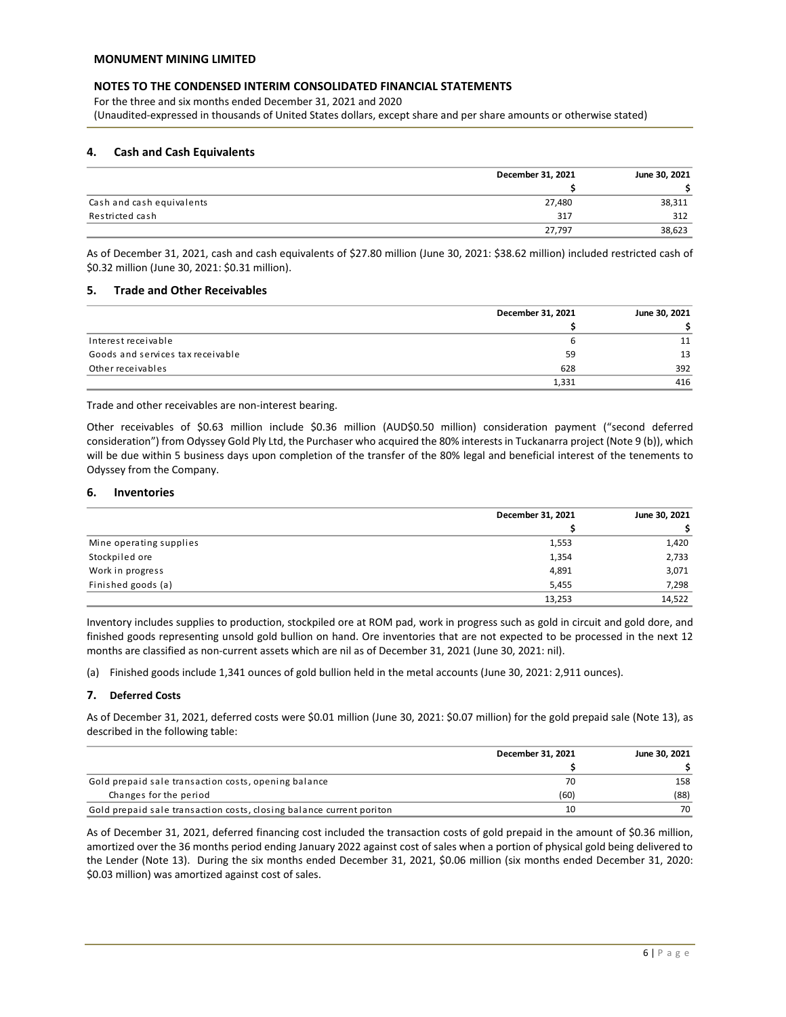For the three and six months ended December 31, 2021 and 2020 (Unaudited-expressed in thousands of United States dollars, except share and per share amounts or otherwise stated)

# **4. Cash and Cash Equivalents**

|                           | December 31, 2021 | June 30, 2021 |
|---------------------------|-------------------|---------------|
|                           |                   |               |
| Cash and cash equivalents | 27,480            | 38,311        |
| Restricted cash           | 317               | 312           |
|                           | 27,797            | 38,623        |

As of December 31, 2021, cash and cash equivalents of \$27.80 million (June 30, 2021: \$38.62 million) included restricted cash of \$0.32 million (June 30, 2021: \$0.31 million).

# **5. Trade and Other Receivables**

|                                   | December 31, 2021 | June 30, 2021 |
|-----------------------------------|-------------------|---------------|
|                                   |                   |               |
| Interest receivable               |                   | 11            |
| Goods and services tax receivable | 59                | 13            |
| Other receivables                 | 628               | 392           |
|                                   | 1,331             | 416           |

Trade and other receivables are non-interest bearing.

Other receivables of \$0.63 million include \$0.36 million (AUD\$0.50 million) consideration payment ("second deferred consideration") from Odyssey Gold Ply Ltd, the Purchaser who acquired the 80% interests in Tuckanarra project (Note 9 (b)), which will be due within 5 business days upon completion of the transfer of the 80% legal and beneficial interest of the tenements to Odyssey from the Company.

## **6. Inventories**

|                         | December 31, 2021 | June 30, 2021 |
|-------------------------|-------------------|---------------|
|                         |                   |               |
| Mine operating supplies | 1,553             | 1,420         |
| Stockpiled ore          | 1,354             | 2,733         |
| Work in progress        | 4,891             | 3,071         |
| Finished goods (a)      | 5,455             | 7,298         |
|                         | 13,253            | 14,522        |

Inventory includes supplies to production, stockpiled ore at ROM pad, work in progress such as gold in circuit and gold dore, and finished goods representing unsold gold bullion on hand. Ore inventories that are not expected to be processed in the next 12 months are classified as non-current assets which are nil as of December 31, 2021 (June 30, 2021: nil).

(a) Finished goods include 1,341 ounces of gold bullion held in the metal accounts (June 30, 2021: 2,911 ounces).

# **7. Deferred Costs**

As of December 31, 2021, deferred costs were \$0.01 million (June 30, 2021: \$0.07 million) for the gold prepaid sale (Note 13), as described in the following table:

|                                                                      | December 31, 2021 | June 30, 2021 |
|----------------------------------------------------------------------|-------------------|---------------|
|                                                                      |                   |               |
| Gold prepaid sale transaction costs, opening balance                 | 70                | 158           |
| Changes for the period                                               | (60)              | (88)          |
| Gold prepaid sale transaction costs, closing balance current poriton | 10                | 70            |

As of December 31, 2021, deferred financing cost included the transaction costs of gold prepaid in the amount of \$0.36 million, amortized over the 36 months period ending January 2022 against cost of sales when a portion of physical gold being delivered to the Lender (Note 13). During the six months ended December 31, 2021, \$0.06 million (six months ended December 31, 2020: \$0.03 million) was amortized against cost of sales.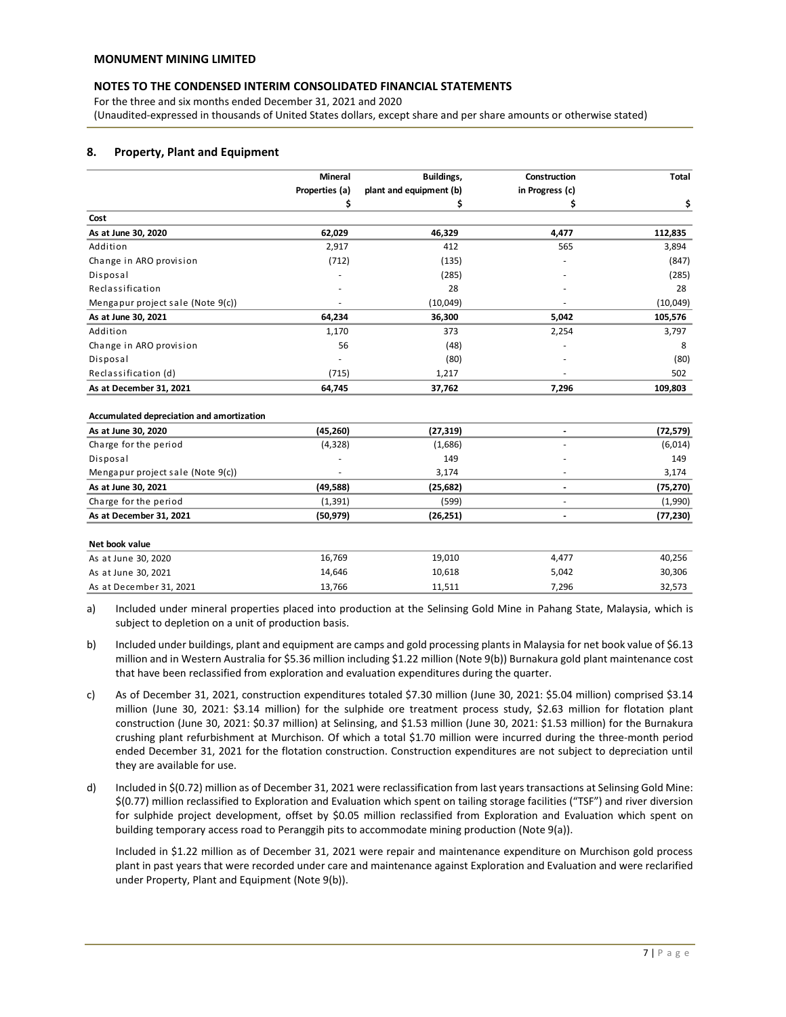For the three and six months ended December 31, 2021 and 2020 (Unaudited-expressed in thousands of United States dollars, except share and per share amounts or otherwise stated)

# **8. Property, Plant and Equipment**

|                                           | <b>Mineral</b> | Buildings,              | Construction             | Total     |
|-------------------------------------------|----------------|-------------------------|--------------------------|-----------|
|                                           | Properties (a) | plant and equipment (b) | in Progress (c)          |           |
|                                           | \$             | \$                      | \$                       | \$        |
| Cost                                      |                |                         |                          |           |
| As at June 30, 2020                       | 62,029         | 46,329                  | 4,477                    | 112,835   |
| Addition                                  | 2,917          | 412                     | 565                      | 3,894     |
| Change in ARO provision                   | (712)          | (135)                   |                          | (847)     |
| Disposal                                  |                | (285)                   |                          | (285)     |
| Reclassification                          |                | 28                      |                          | 28        |
| Mengapur project sale (Note 9(c))         |                | (10,049)                |                          | (10,049)  |
| As at June 30, 2021                       | 64,234         | 36,300                  | 5,042                    | 105,576   |
| Addition                                  | 1,170          | 373                     | 2,254                    | 3,797     |
| Change in ARO provision                   | 56             | (48)                    |                          | 8         |
| Disposal                                  |                | (80)                    |                          | (80)      |
| Reclassification (d)                      | (715)          | 1,217                   |                          | 502       |
| As at December 31, 2021                   | 64,745         | 37,762                  | 7,296                    | 109,803   |
| Accumulated depreciation and amortization |                |                         |                          |           |
| As at June 30, 2020                       | (45, 260)      | (27, 319)               | $\overline{\phantom{a}}$ | (72, 579) |
| Charge for the period                     | (4, 328)       | (1,686)                 |                          | (6,014)   |
| Disposal                                  |                | 149                     |                          | 149       |
| Mengapur project sale (Note 9(c))         |                | 3,174                   |                          | 3,174     |
| As at June 30, 2021                       | (49, 588)      | (25, 682)               |                          | (75, 270) |
| Charge for the period                     | (1, 391)       | (599)                   |                          | (1,990)   |
| As at December 31, 2021                   | (50, 979)      | (26, 251)               |                          | (77, 230) |
| Net book value                            |                |                         |                          |           |
| As at June 30, 2020                       | 16,769         | 19,010                  | 4,477                    | 40,256    |
| As at June 30, 2021                       | 14,646         | 10,618                  | 5,042                    | 30,306    |
| As at December 31, 2021                   | 13,766         | 11,511                  | 7,296                    | 32,573    |
|                                           |                |                         |                          |           |

a) Included under mineral properties placed into production at the Selinsing Gold Mine in Pahang State, Malaysia, which is subject to depletion on a unit of production basis.

- b) Included under buildings, plant and equipment are camps and gold processing plants in Malaysia for net book value of \$6.13 million and in Western Australia for \$5.36 million including \$1.22 million (Note 9(b)) Burnakura gold plant maintenance cost that have been reclassified from exploration and evaluation expenditures during the quarter.
- c) As of December 31, 2021, construction expenditures totaled \$7.30 million (June 30, 2021: \$5.04 million) comprised \$3.14 million (June 30, 2021: \$3.14 million) for the sulphide ore treatment process study, \$2.63 million for flotation plant construction (June 30, 2021: \$0.37 million) at Selinsing, and \$1.53 million (June 30, 2021: \$1.53 million) for the Burnakura crushing plant refurbishment at Murchison. Of which a total \$1.70 million were incurred during the three-month period ended December 31, 2021 for the flotation construction. Construction expenditures are not subject to depreciation until they are available for use.
- d) Included in \$(0.72) million as of December 31, 2021 were reclassification from last years transactions at Selinsing Gold Mine: \$(0.77) million reclassified to Exploration and Evaluation which spent on tailing storage facilities ("TSF") and river diversion for sulphide project development, offset by \$0.05 million reclassified from Exploration and Evaluation which spent on building temporary access road to Peranggih pits to accommodate mining production (Note 9(a)).

Included in \$1.22 million as of December 31, 2021 were repair and maintenance expenditure on Murchison gold process plant in past years that were recorded under care and maintenance against Exploration and Evaluation and were reclarified under Property, Plant and Equipment (Note 9(b)).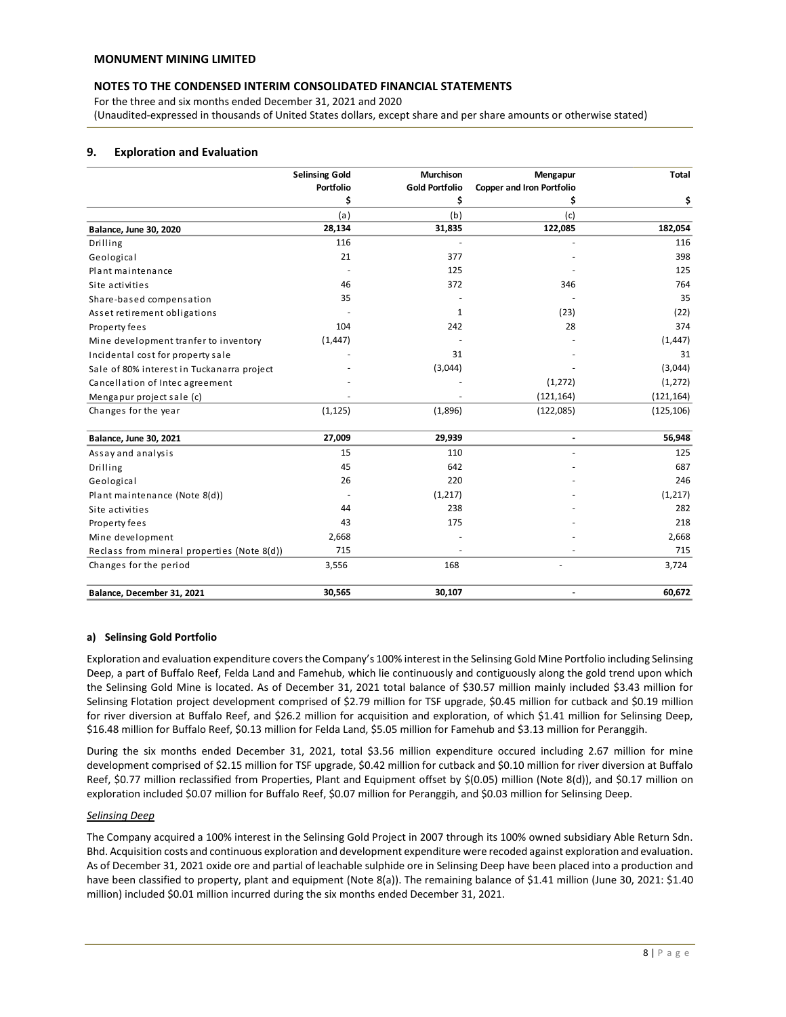For the three and six months ended December 31, 2021 and 2020 (Unaudited-expressed in thousands of United States dollars, except share and per share amounts or otherwise stated)

# **9. Exploration and Evaluation**

|                                             | <b>Selinsing Gold</b> | <b>Murchison</b>      | Mengapur                         | <b>Total</b> |
|---------------------------------------------|-----------------------|-----------------------|----------------------------------|--------------|
|                                             | Portfolio             | <b>Gold Portfolio</b> | <b>Copper and Iron Portfolio</b> |              |
|                                             | \$                    | \$                    | \$                               | \$           |
|                                             | (a)                   | (b)                   | (c)                              |              |
| Balance, June 30, 2020                      | 28,134                | 31,835                | 122,085                          | 182,054      |
| Drilling                                    | 116                   |                       |                                  | 116          |
| Geological                                  | 21                    | 377                   |                                  | 398          |
| Plant maintenance                           |                       | 125                   |                                  | 125          |
| Site activities                             | 46                    | 372                   | 346                              | 764          |
| Share-based compensation                    | 35                    |                       |                                  | 35           |
| Asset retirement obligations                |                       | 1                     | (23)                             | (22)         |
| Property fees                               | 104                   | 242                   | 28                               | 374          |
| Mine development tranfer to inventory       | (1, 447)              |                       |                                  | (1, 447)     |
| Incidental cost for property sale           |                       | 31                    |                                  | 31           |
| Sale of 80% interest in Tuckanarra project  |                       | (3,044)               |                                  | (3,044)      |
| Cancellation of Intec agreement             |                       |                       | (1, 272)                         | (1, 272)     |
| Mengapur project sale (c)                   |                       |                       | (121, 164)                       | (121, 164)   |
| Changes for the year                        | (1, 125)              | (1,896)               | (122,085)                        | (125, 106)   |
| Balance, June 30, 2021                      | 27,009                | 29,939                | $\blacksquare$                   | 56,948       |
| Assay and analysis                          | 15                    | 110                   |                                  | 125          |
| Drilling                                    | 45                    | 642                   |                                  | 687          |
| Geological                                  | 26                    | 220                   |                                  | 246          |
| Plant maintenance (Note 8(d))               |                       | (1, 217)              |                                  | (1, 217)     |
| Site activities                             | 44                    | 238                   |                                  | 282          |
| Property fees                               | 43                    | 175                   |                                  | 218          |
| Mine development                            | 2,668                 |                       |                                  | 2,668        |
| Reclass from mineral properties (Note 8(d)) | 715                   |                       |                                  | 715          |
| Changes for the period                      | 3,556                 | 168                   |                                  | 3,724        |
| Balance, December 31, 2021                  | 30,565                | 30,107                |                                  | 60,672       |

# **a) Selinsing Gold Portfolio**

Exploration and evaluation expenditure covers the Company's 100% interest in the Selinsing Gold Mine Portfolio including Selinsing Deep, a part of Buffalo Reef, Felda Land and Famehub, which lie continuously and contiguously along the gold trend upon which the Selinsing Gold Mine is located. As of December 31, 2021 total balance of \$30.57 million mainly included \$3.43 million for Selinsing Flotation project development comprised of \$2.79 million for TSF upgrade, \$0.45 million for cutback and \$0.19 million for river diversion at Buffalo Reef, and \$26.2 million for acquisition and exploration, of which \$1.41 million for Selinsing Deep, \$16.48 million for Buffalo Reef, \$0.13 million for Felda Land, \$5.05 million for Famehub and \$3.13 million for Peranggih.

During the six months ended December 31, 2021, total \$3.56 million expenditure occured including 2.67 million for mine development comprised of \$2.15 million for TSF upgrade, \$0.42 million for cutback and \$0.10 million for river diversion at Buffalo Reef, \$0.77 million reclassified from Properties, Plant and Equipment offset by \$(0.05) million (Note 8(d)), and \$0.17 million on exploration included \$0.07 million for Buffalo Reef, \$0.07 million for Peranggih, and \$0.03 million for Selinsing Deep.

#### *Selinsing Deep*

The Company acquired a 100% interest in the Selinsing Gold Project in 2007 through its 100% owned subsidiary Able Return Sdn. Bhd. Acquisition costs and continuous exploration and development expenditure were recoded against exploration and evaluation. As of December 31, 2021 oxide ore and partial of leachable sulphide ore in Selinsing Deep have been placed into a production and have been classified to property, plant and equipment (Note 8(a)). The remaining balance of \$1.41 million (June 30, 2021: \$1.40 million) included \$0.01 million incurred during the six months ended December 31, 2021.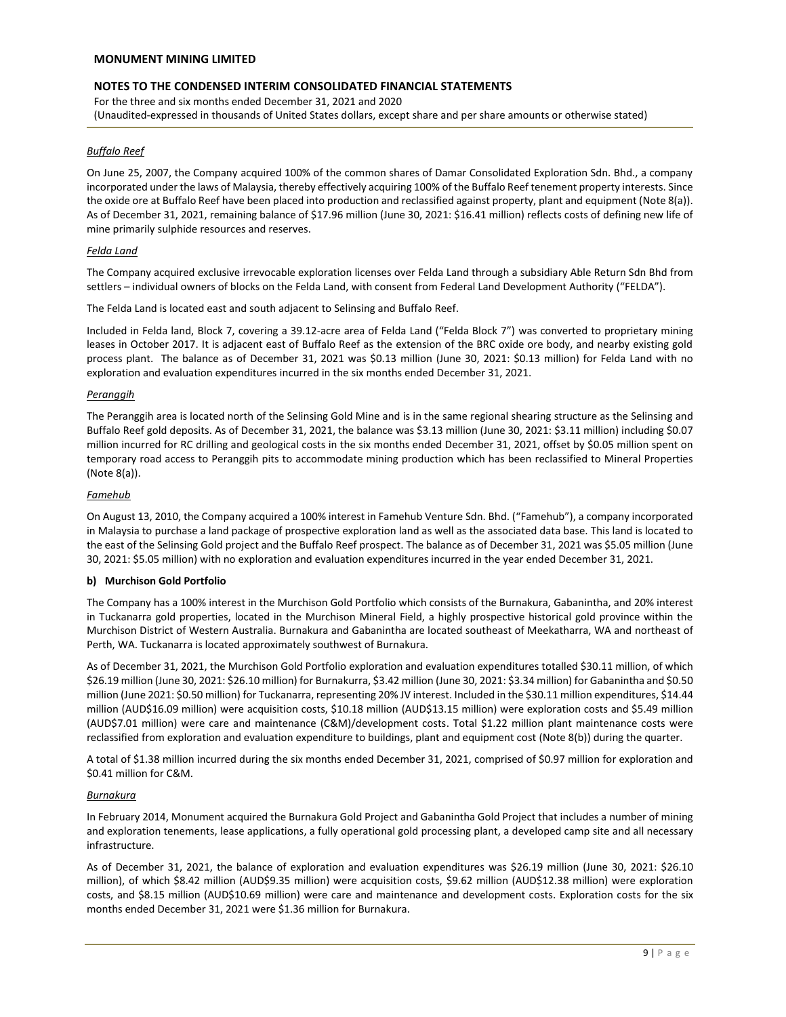# **NOTES TO THE CONDENSED INTERIM CONSOLIDATED FINANCIAL STATEMENTS**

For the three and six months ended December 31, 2021 and 2020 (Unaudited-expressed in thousands of United States dollars, except share and per share amounts or otherwise stated)

## *Buffalo Reef*

On June 25, 2007, the Company acquired 100% of the common shares of Damar Consolidated Exploration Sdn. Bhd., a company incorporated under the laws of Malaysia, thereby effectively acquiring 100% of the Buffalo Reef tenement property interests. Since the oxide ore at Buffalo Reef have been placed into production and reclassified against property, plant and equipment (Note 8(a)). As of December 31, 2021, remaining balance of \$17.96 million (June 30, 2021: \$16.41 million) reflects costs of defining new life of mine primarily sulphide resources and reserves.

#### *Felda Land*

The Company acquired exclusive irrevocable exploration licenses over Felda Land through a subsidiary Able Return Sdn Bhd from settlers – individual owners of blocks on the Felda Land, with consent from Federal Land Development Authority ("FELDA").

The Felda Land is located east and south adjacent to Selinsing and Buffalo Reef.

Included in Felda land, Block 7, covering a 39.12-acre area of Felda Land ("Felda Block 7") was converted to proprietary mining leases in October 2017. It is adjacent east of Buffalo Reef as the extension of the BRC oxide ore body, and nearby existing gold process plant. The balance as of December 31, 2021 was \$0.13 million (June 30, 2021: \$0.13 million) for Felda Land with no exploration and evaluation expenditures incurred in the six months ended December 31, 2021.

#### *Peranggih*

The Peranggih area is located north of the Selinsing Gold Mine and is in the same regional shearing structure as the Selinsing and Buffalo Reef gold deposits. As of December 31, 2021, the balance was \$3.13 million (June 30, 2021: \$3.11 million) including \$0.07 million incurred for RC drilling and geological costs in the six months ended December 31, 2021, offset by \$0.05 million spent on temporary road access to Peranggih pits to accommodate mining production which has been reclassified to Mineral Properties (Note 8(a)).

#### *Famehub*

On August 13, 2010, the Company acquired a 100% interest in Famehub Venture Sdn. Bhd. ("Famehub"), a company incorporated in Malaysia to purchase a land package of prospective exploration land as well as the associated data base. This land is located to the east of the Selinsing Gold project and the Buffalo Reef prospect. The balance as of December 31, 2021 was \$5.05 million (June 30, 2021: \$5.05 million) with no exploration and evaluation expenditures incurred in the year ended December 31, 2021.

#### **b) Murchison Gold Portfolio**

The Company has a 100% interest in the Murchison Gold Portfolio which consists of the Burnakura, Gabanintha, and 20% interest in Tuckanarra gold properties, located in the Murchison Mineral Field, a highly prospective historical gold province within the Murchison District of Western Australia. Burnakura and Gabanintha are located southeast of Meekatharra, WA and northeast of Perth, WA. Tuckanarra is located approximately southwest of Burnakura.

As of December 31, 2021, the Murchison Gold Portfolio exploration and evaluation expenditures totalled \$30.11 million, of which \$26.19 million (June 30, 2021: \$26.10 million) for Burnakurra, \$3.42 million (June 30, 2021: \$3.34 million) for Gabanintha and \$0.50 million (June 2021: \$0.50 million) for Tuckanarra, representing 20% JV interest. Included in the \$30.11 million expenditures, \$14.44 million (AUD\$16.09 million) were acquisition costs, \$10.18 million (AUD\$13.15 million) were exploration costs and \$5.49 million (AUD\$7.01 million) were care and maintenance (C&M)/development costs. Total \$1.22 million plant maintenance costs were reclassified from exploration and evaluation expenditure to buildings, plant and equipment cost (Note 8(b)) during the quarter.

A total of \$1.38 million incurred during the six months ended December 31, 2021, comprised of \$0.97 million for exploration and \$0.41 million for C&M.

#### *Burnakura*

In February 2014, Monument acquired the Burnakura Gold Project and Gabanintha Gold Project that includes a number of mining and exploration tenements, lease applications, a fully operational gold processing plant, a developed camp site and all necessary infrastructure.

As of December 31, 2021, the balance of exploration and evaluation expenditures was \$26.19 million (June 30, 2021: \$26.10 million), of which \$8.42 million (AUD\$9.35 million) were acquisition costs, \$9.62 million (AUD\$12.38 million) were exploration costs, and \$8.15 million (AUD\$10.69 million) were care and maintenance and development costs. Exploration costs for the six months ended December 31, 2021 were \$1.36 million for Burnakura.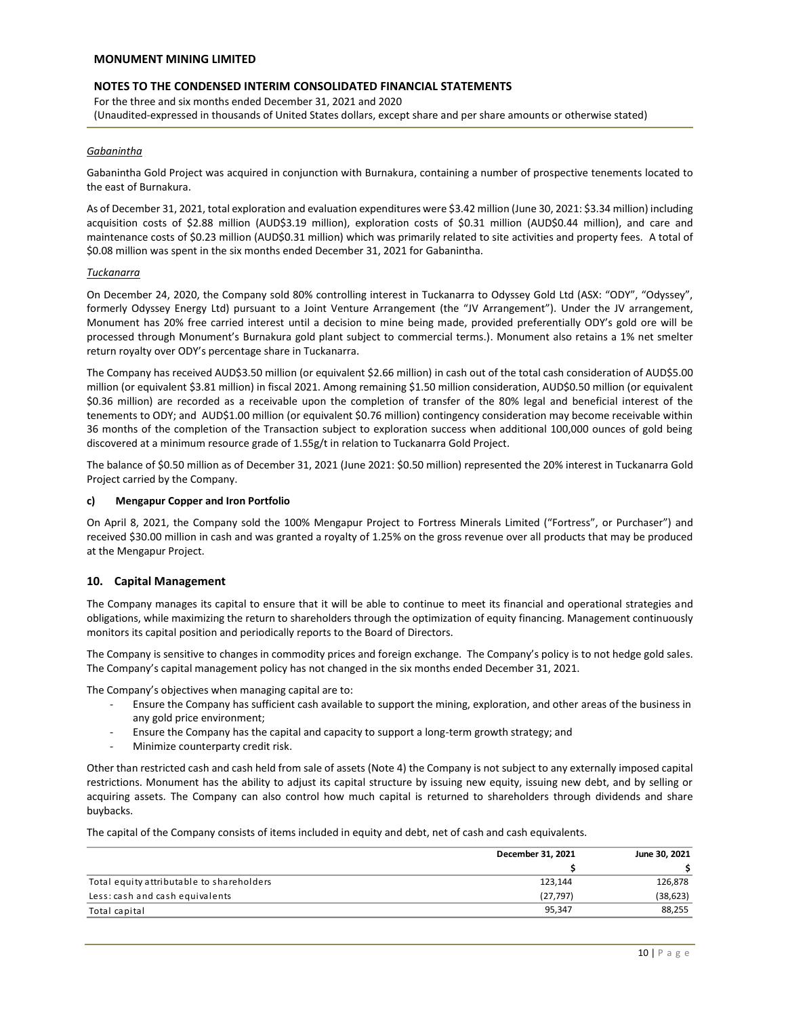# **NOTES TO THE CONDENSED INTERIM CONSOLIDATED FINANCIAL STATEMENTS**

For the three and six months ended December 31, 2021 and 2020 (Unaudited-expressed in thousands of United States dollars, except share and per share amounts or otherwise stated)

#### *Gabanintha*

Gabanintha Gold Project was acquired in conjunction with Burnakura, containing a number of prospective tenements located to the east of Burnakura.

As of December 31, 2021, total exploration and evaluation expenditures were \$3.42 million (June 30, 2021: \$3.34 million) including acquisition costs of \$2.88 million (AUD\$3.19 million), exploration costs of \$0.31 million (AUD\$0.44 million), and care and maintenance costs of \$0.23 million (AUD\$0.31 million) which was primarily related to site activities and property fees. A total of \$0.08 million was spent in the six months ended December 31, 2021 for Gabanintha.

#### *Tuckanarra*

On December 24, 2020, the Company sold 80% controlling interest in Tuckanarra to Odyssey Gold Ltd (ASX: "ODY", "Odyssey", formerly Odyssey Energy Ltd) pursuant to a Joint Venture Arrangement (the "JV Arrangement"). Under the JV arrangement, Monument has 20% free carried interest until a decision to mine being made, provided preferentially ODY's gold ore will be processed through Monument's Burnakura gold plant subject to commercial terms.). Monument also retains a 1% net smelter return royalty over ODY's percentage share in Tuckanarra.

The Company has received AUD\$3.50 million (or equivalent \$2.66 million) in cash out of the total cash consideration of AUD\$5.00 million (or equivalent \$3.81 million) in fiscal 2021. Among remaining \$1.50 million consideration, AUD\$0.50 million (or equivalent \$0.36 million) are recorded as a receivable upon the completion of transfer of the 80% legal and beneficial interest of the tenements to ODY; and AUD\$1.00 million (or equivalent \$0.76 million) contingency consideration may become receivable within 36 months of the completion of the Transaction subject to exploration success when additional 100,000 ounces of gold being discovered at a minimum resource grade of 1.55g/t in relation to Tuckanarra Gold Project.

The balance of \$0.50 million as of December 31, 2021 (June 2021: \$0.50 million) represented the 20% interest in Tuckanarra Gold Project carried by the Company.

#### **c) Mengapur Copper and Iron Portfolio**

On April 8, 2021, the Company sold the 100% Mengapur Project to Fortress Minerals Limited ("Fortress", or Purchaser") and received \$30.00 million in cash and was granted a royalty of 1.25% on the gross revenue over all products that may be produced at the Mengapur Project.

# **10. Capital Management**

The Company manages its capital to ensure that it will be able to continue to meet its financial and operational strategies and obligations, while maximizing the return to shareholders through the optimization of equity financing. Management continuously monitors its capital position and periodically reports to the Board of Directors.

The Company is sensitive to changes in commodity prices and foreign exchange. The Company's policy is to not hedge gold sales. The Company's capital management policy has not changed in the six months ended December 31, 2021.

The Company's objectives when managing capital are to:

- Ensure the Company has sufficient cash available to support the mining, exploration, and other areas of the business in any gold price environment;
- Ensure the Company has the capital and capacity to support a long-term growth strategy; and
- Minimize counterparty credit risk.

Other than restricted cash and cash held from sale of assets (Note 4) the Company is not subject to any externally imposed capital restrictions. Monument has the ability to adjust its capital structure by issuing new equity, issuing new debt, and by selling or acquiring assets. The Company can also control how much capital is returned to shareholders through dividends and share buybacks.

The capital of the Company consists of items included in equity and debt, net of cash and cash equivalents.

|                                           | December 31, 2021 | June 30, 2021 |  |
|-------------------------------------------|-------------------|---------------|--|
|                                           |                   |               |  |
| Total equity attributable to shareholders | 123,144           | 126,878       |  |
| Less: cash and cash equivalents           | (27, 797)         | (38, 623)     |  |
| Total capital                             | 95.347            | 88,255        |  |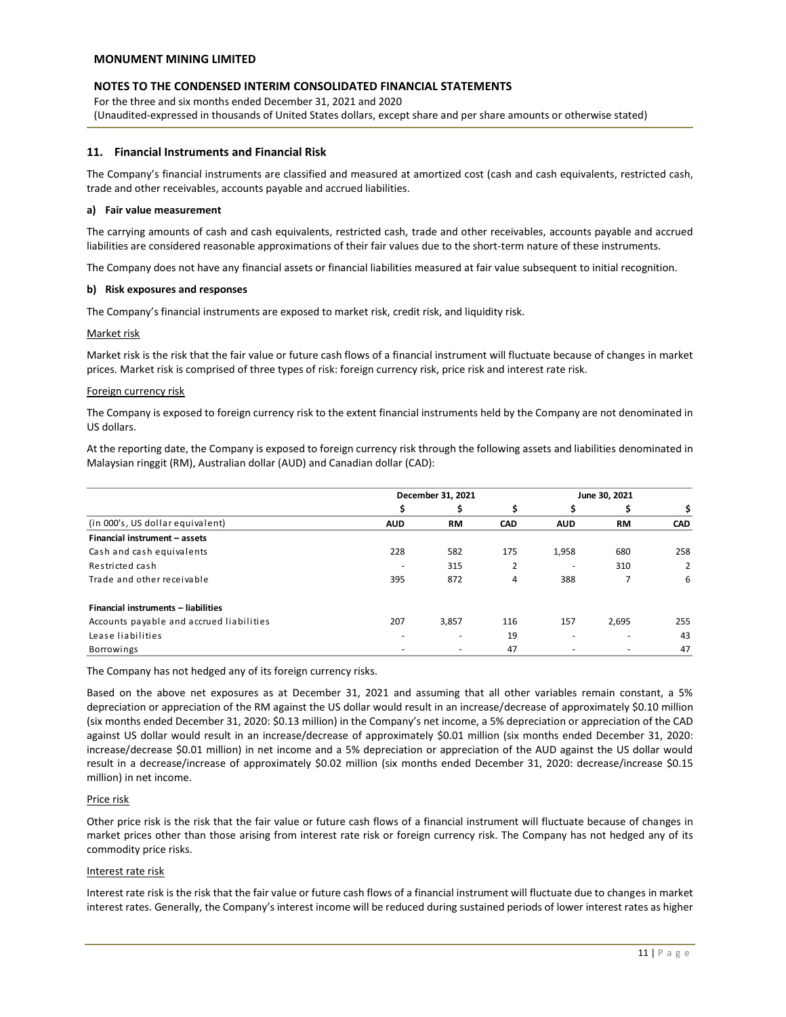# **NOTES TO THE CONDENSED INTERIM CONSOLIDATED FINANCIAL STATEMENTS**

For the three and six months ended December 31, 2021 and 2020 (Unaudited-expressed in thousands of United States dollars, except share and per share amounts or otherwise stated)

#### **11. Financial Instruments and Financial Risk**

The Company's financial instruments are classified and measured at amortized cost (cash and cash equivalents, restricted cash, trade and other receivables, accounts payable and accrued liabilities.

#### **a) Fair value measurement**

The carrying amounts of cash and cash equivalents, restricted cash, trade and other receivables, accounts payable and accrued liabilities are considered reasonable approximations of their fair values due to the short-term nature of these instruments.

The Company does not have any financial assets or financial liabilities measured at fair value subsequent to initial recognition.

#### **b) Risk exposures and responses**

The Company's financial instruments are exposed to market risk, credit risk, and liquidity risk.

#### Market risk

Market risk is the risk that the fair value or future cash flows of a financial instrument will fluctuate because of changes in market prices. Market risk is comprised of three types of risk: foreign currency risk, price risk and interest rate risk.

#### Foreign currency risk

The Company is exposed to foreign currency risk to the extent financial instruments held by the Company are not denominated in US dollars.

At the reporting date, the Company is exposed to foreign currency risk through the following assets and liabilities denominated in Malaysian ringgit (RM), Australian dollar (AUD) and Canadian dollar (CAD):

|                                          | December 31, 2021 |           | June 30, 2021 |            |                          |            |
|------------------------------------------|-------------------|-----------|---------------|------------|--------------------------|------------|
|                                          | \$                | \$        | \$            | \$         | \$                       | \$         |
| (in 000's, US dollar equivalent)         | <b>AUD</b>        | <b>RM</b> | <b>CAD</b>    | <b>AUD</b> | <b>RM</b>                | <b>CAD</b> |
| Financial instrument - assets            |                   |           |               |            |                          |            |
| Cash and cash equivalents                | 228               | 582       | 175           | 1,958      | 680                      | 258        |
| Restricted cash                          |                   | 315       | 2             |            | 310                      | 2          |
| Trade and other receivable               | 395               | 872       | 4             | 388        |                          | 6          |
| Financial instruments - liabilities      |                   |           |               |            |                          |            |
| Accounts payable and accrued liabilities | 207               | 3,857     | 116           | 157        | 2,695                    | 255        |
| Lease liabilities                        |                   | ۰         | 19            | -          | $\overline{\phantom{a}}$ | 43         |
| Borrowings                               |                   |           | 47            |            |                          | 47         |

The Company has not hedged any of its foreign currency risks.

Based on the above net exposures as at December 31, 2021 and assuming that all other variables remain constant, a 5% depreciation or appreciation of the RM against the US dollar would result in an increase/decrease of approximately \$0.10 million (six months ended December 31, 2020: \$0.13 million) in the Company's net income, a 5% depreciation or appreciation of the CAD against US dollar would result in an increase/decrease of approximately \$0.01 million (six months ended December 31, 2020: increase/decrease \$0.01 million) in net income and a 5% depreciation or appreciation of the AUD against the US dollar would result in a decrease/increase of approximately \$0.02 million (six months ended December 31, 2020: decrease/increase \$0.15 million) in net income.

#### Price risk

Other price risk is the risk that the fair value or future cash flows of a financial instrument will fluctuate because of changes in market prices other than those arising from interest rate risk or foreign currency risk. The Company has not hedged any of its commodity price risks.

#### Interest rate risk

Interest rate risk is the risk that the fair value or future cash flows of a financial instrument will fluctuate due to changes in market interest rates. Generally, the Company's interest income will be reduced during sustained periods of lower interest rates as higher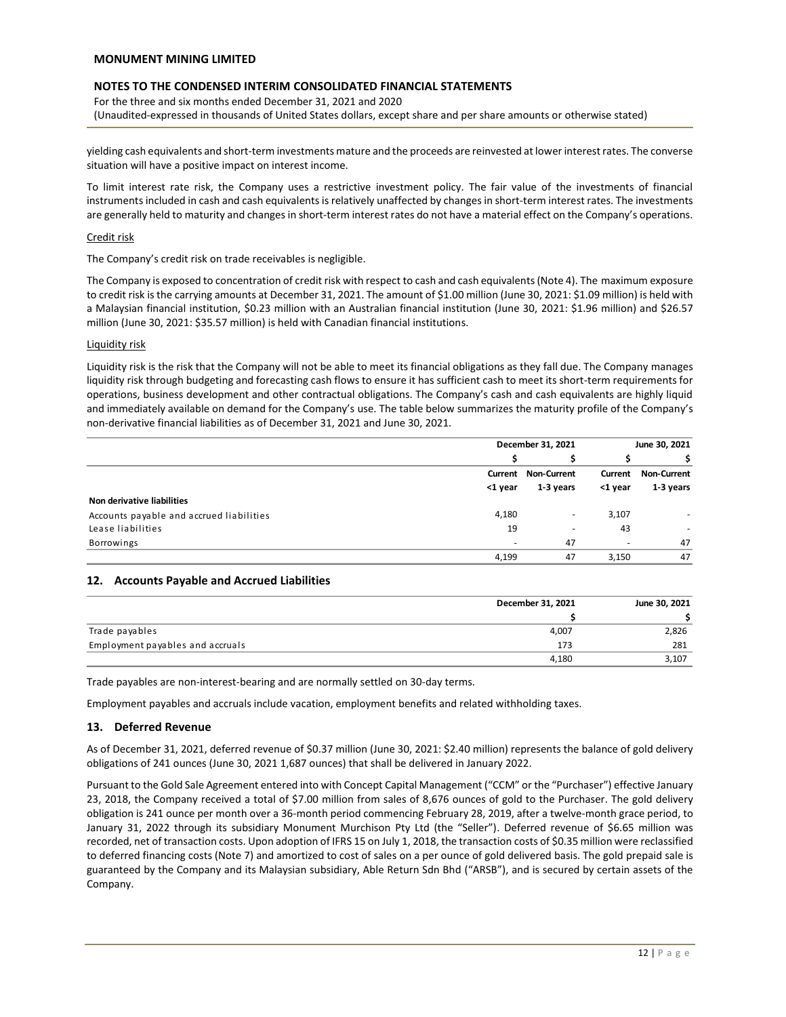# **NOTES TO THE CONDENSED INTERIM CONSOLIDATED FINANCIAL STATEMENTS**

For the three and six months ended December 31, 2021 and 2020 (Unaudited-expressed in thousands of United States dollars, except share and per share amounts or otherwise stated)

yielding cash equivalents and short-term investments mature and the proceeds are reinvested at lower interest rates. The converse situation will have a positive impact on interest income.

To limit interest rate risk, the Company uses a restrictive investment policy. The fair value of the investments of financial instruments included in cash and cash equivalents is relatively unaffected by changes in short-term interest rates. The investments are generally held to maturity and changes in short-term interest rates do not have a material effect on the Company's operations.

#### Credit risk

The Company's credit risk on trade receivables is negligible.

The Company is exposed to concentration of credit risk with respect to cash and cash equivalents (Note 4). The maximum exposure to credit risk is the carrying amounts at December 31, 2021. The amount of \$1.00 million (June 30, 2021: \$1.09 million) is held with a Malaysian financial institution, \$0.23 million with an Australian financial institution (June 30, 2021: \$1.96 million) and \$26.57 million (June 30, 2021: \$35.57 million) is held with Canadian financial institutions.

#### Liquidity risk

Liquidity risk is the risk that the Company will not be able to meet its financial obligations as they fall due. The Company manages liquidity risk through budgeting and forecasting cash flows to ensure it has sufficient cash to meet its short-term requirements for operations, business development and other contractual obligations. The Company's cash and cash equivalents are highly liquid and immediately available on demand for the Company's use. The table below summarizes the maturity profile of the Company's non-derivative financial liabilities as of December 31, 2021 and June 30, 2021.

|                                          | December 31, 2021 |                    | June 30, 2021 |                    |
|------------------------------------------|-------------------|--------------------|---------------|--------------------|
|                                          |                   |                    |               |                    |
|                                          | Current           | <b>Non-Current</b> | Current       | <b>Non-Current</b> |
|                                          | <1 year           | 1-3 years          | <1 year       | 1-3 years          |
| Non derivative liabilities               |                   |                    |               |                    |
| Accounts payable and accrued liabilities | 4,180             | ۰                  | 3,107         | ٠                  |
| Lease liabilities                        | 19                | ۰                  | 43            | ٠                  |
| <b>Borrowings</b>                        | -                 | 47                 | -             | 47                 |
|                                          | 4,199             | 47                 | 3.150         | 47                 |

# **12. Accounts Payable and Accrued Liabilities**

|                                  | December 31, 2021 | June 30, 2021 |
|----------------------------------|-------------------|---------------|
|                                  |                   |               |
| Trade payables                   | 4,007             | 2,826         |
| Employment payables and accruals | 173               | 281           |
|                                  | 4,180             | 3,107         |

Trade payables are non-interest-bearing and are normally settled on 30-day terms.

Employment payables and accruals include vacation, employment benefits and related withholding taxes.

#### **13. Deferred Revenue**

As of December 31, 2021, deferred revenue of \$0.37 million (June 30, 2021: \$2.40 million) represents the balance of gold delivery obligations of 241 ounces (June 30, 2021 1,687 ounces) that shall be delivered in January 2022.

Pursuant to the Gold Sale Agreement entered into with Concept Capital Management ("CCM" or the "Purchaser") effective January 23, 2018, the Company received a total of \$7.00 million from sales of 8,676 ounces of gold to the Purchaser. The gold delivery obligation is 241 ounce per month over a 36-month period commencing February 28, 2019, after a twelve-month grace period, to January 31, 2022 through its subsidiary Monument Murchison Pty Ltd (the "Seller"). Deferred revenue of \$6.65 million was recorded, net of transaction costs. Upon adoption of IFRS 15 on July 1, 2018, the transaction costs of \$0.35 million were reclassified to deferred financing costs (Note 7) and amortized to cost of sales on a per ounce of gold delivered basis. The gold prepaid sale is guaranteed by the Company and its Malaysian subsidiary, Able Return Sdn Bhd ("ARSB"), and is secured by certain assets of the Company.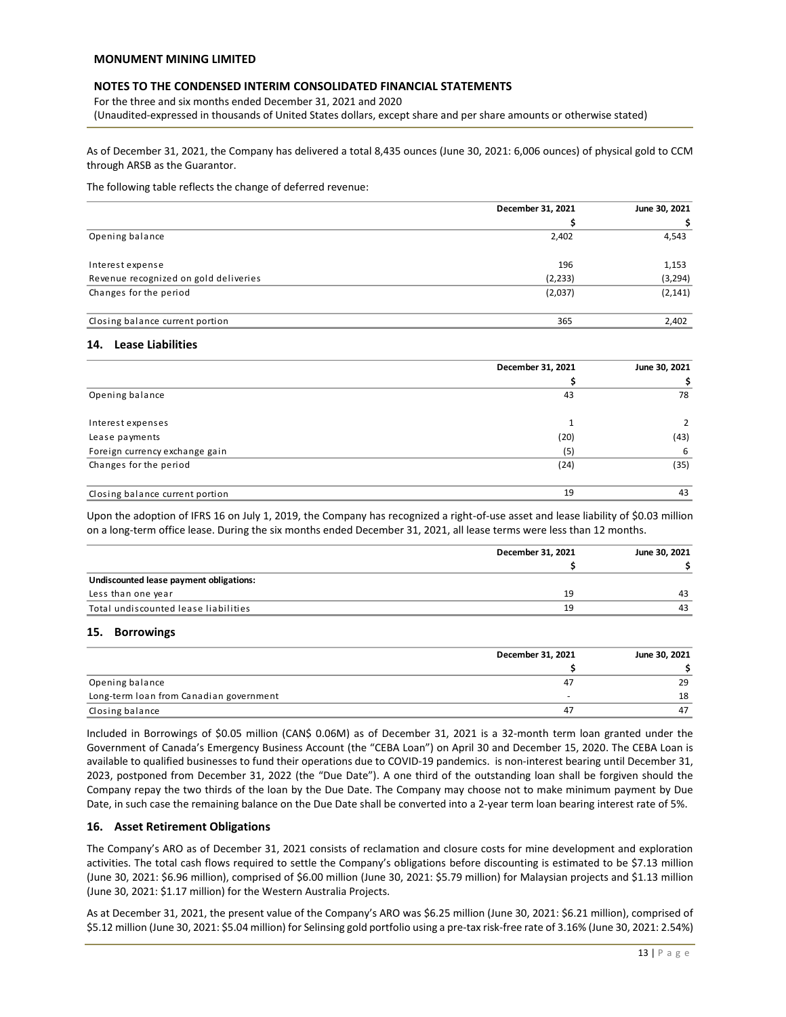For the three and six months ended December 31, 2021 and 2020 (Unaudited-expressed in thousands of United States dollars, except share and per share amounts or otherwise stated)

As of December 31, 2021, the Company has delivered a total 8,435 ounces (June 30, 2021: 6,006 ounces) of physical gold to CCM through ARSB as the Guarantor.

The following table reflects the change of deferred revenue:

|                                       | December 31, 2021 | June 30, 2021 |
|---------------------------------------|-------------------|---------------|
|                                       |                   | S             |
| Opening balance                       | 2,402             | 4,543         |
| Interest expense                      | 196               | 1,153         |
| Revenue recognized on gold deliveries | (2, 233)          | (3, 294)      |
| Changes for the period                | (2,037)           | (2, 141)      |
| Closing balance current portion       | 365               | 2,402         |

#### **14. Lease Liabilities**

|                                 | December 31, 2021 | June 30, 2021 |
|---------------------------------|-------------------|---------------|
|                                 |                   |               |
| Opening balance                 | 43                | 78            |
| Interest expenses               |                   |               |
| Lease payments                  | (20)              | (43)          |
| Foreign currency exchange gain  | (5)               | 6             |
| Changes for the period          | (24)              | (35)          |
| Closing balance current portion | 19                | 43            |

Upon the adoption of IFRS 16 on July 1, 2019, the Company has recognized a right-of-use asset and lease liability of \$0.03 million on a long-term office lease. During the six months ended December 31, 2021, all lease terms were less than 12 months.

|                                         | December 31, 2021 | June 30, 2021 |  |
|-----------------------------------------|-------------------|---------------|--|
|                                         |                   |               |  |
| Undiscounted lease payment obligations: |                   |               |  |
| Less than one year                      | 19                | 43            |  |
| Total undiscounted lease liabilities    | 19                | 43            |  |

#### **15. Borrowings**

|                                         | December 31, 2021 | June 30, 2021 |
|-----------------------------------------|-------------------|---------------|
|                                         |                   |               |
| Opening balance                         |                   | 29            |
| Long-term loan from Canadian government | -                 | 18            |
| Closing balance                         | Δ7                | 47            |

Included in Borrowings of \$0.05 million (CAN\$ 0.06M) as of December 31, 2021 is a 32-month term loan granted under the Government of Canada's Emergency Business Account (the "CEBA Loan") on April 30 and December 15, 2020. The CEBA Loan is available to qualified businesses to fund their operations due to COVID-19 pandemics. is non-interest bearing until December 31, 2023, postponed from December 31, 2022 (the "Due Date"). A one third of the outstanding loan shall be forgiven should the Company repay the two thirds of the loan by the Due Date. The Company may choose not to make minimum payment by Due Date, in such case the remaining balance on the Due Date shall be converted into a 2-year term loan bearing interest rate of 5%.

#### **16. Asset Retirement Obligations**

The Company's ARO as of December 31, 2021 consists of reclamation and closure costs for mine development and exploration activities. The total cash flows required to settle the Company's obligations before discounting is estimated to be \$7.13 million (June 30, 2021: \$6.96 million), comprised of \$6.00 million (June 30, 2021: \$5.79 million) for Malaysian projects and \$1.13 million (June 30, 2021: \$1.17 million) for the Western Australia Projects.

As at December 31, 2021, the present value of the Company's ARO was \$6.25 million (June 30, 2021: \$6.21 million), comprised of \$5.12 million (June 30, 2021: \$5.04 million) for Selinsing gold portfolio using a pre-tax risk-free rate of 3.16% (June 30, 2021: 2.54%)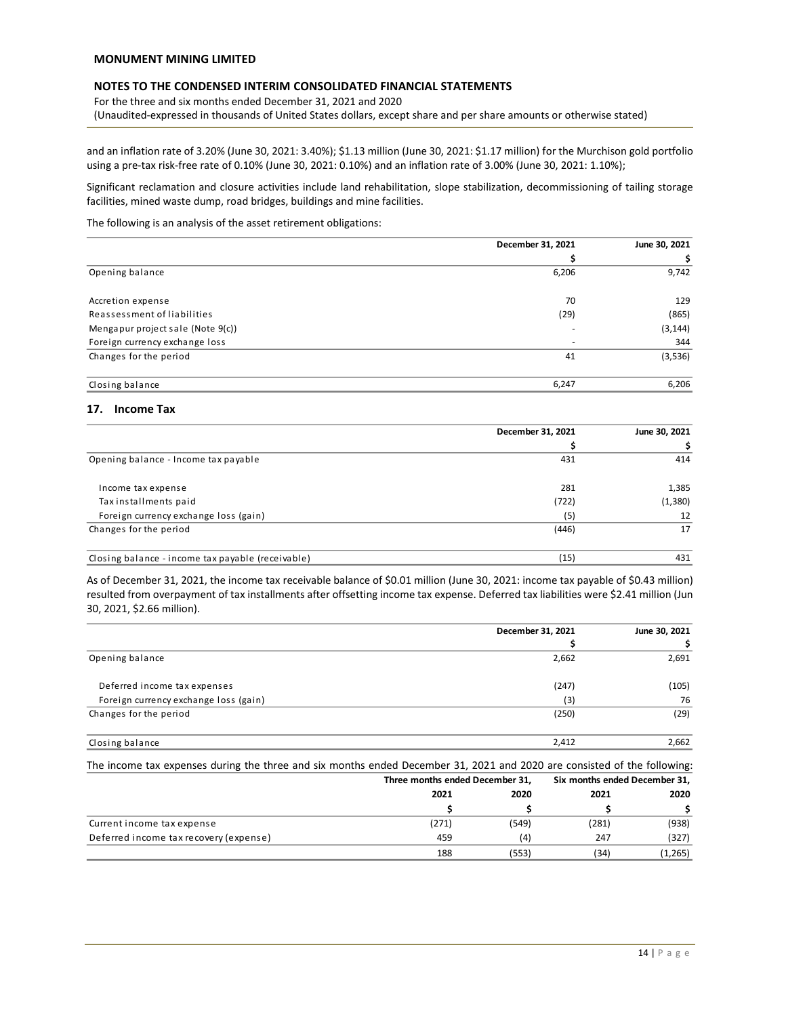# **NOTES TO THE CONDENSED INTERIM CONSOLIDATED FINANCIAL STATEMENTS**

For the three and six months ended December 31, 2021 and 2020 (Unaudited-expressed in thousands of United States dollars, except share and per share amounts or otherwise stated)

and an inflation rate of 3.20% (June 30, 2021: 3.40%); \$1.13 million (June 30, 2021: \$1.17 million) for the Murchison gold portfolio using a pre-tax risk-free rate of 0.10% (June 30, 2021: 0.10%) and an inflation rate of 3.00% (June 30, 2021: 1.10%);

Significant reclamation and closure activities include land rehabilitation, slope stabilization, decommissioning of tailing storage facilities, mined waste dump, road bridges, buildings and mine facilities.

The following is an analysis of the asset retirement obligations:

|                                   | December 31, 2021 | June 30, 2021 |
|-----------------------------------|-------------------|---------------|
|                                   |                   |               |
| Opening balance                   | 6,206             | 9,742         |
| Accretion expense                 | 70                | 129           |
| Reassessment of liabilities       | (29)              | (865)         |
| Mengapur project sale (Note 9(c)) |                   | (3, 144)      |
| Foreign currency exchange loss    |                   | 344           |
| Changes for the period            | 41                | (3,536)       |
| Closing balance                   | 6,247             | 6,206         |

## **17. Income Tax**

|                                                                                                                                                                                                                                                                                                          | December 31, 2021 | June 30, 2021 |
|----------------------------------------------------------------------------------------------------------------------------------------------------------------------------------------------------------------------------------------------------------------------------------------------------------|-------------------|---------------|
|                                                                                                                                                                                                                                                                                                          | s                 | Ş             |
| Opening balance - Income tax payable                                                                                                                                                                                                                                                                     | 431               | 414           |
| Income tax expense                                                                                                                                                                                                                                                                                       | 281               | 1,385         |
| Taxinstallments paid                                                                                                                                                                                                                                                                                     | (722)             | (1,380)       |
| Foreign currency exchange loss (gain)                                                                                                                                                                                                                                                                    | (5)               | 12            |
| Changes for the period                                                                                                                                                                                                                                                                                   | (446)             | 17            |
| Closing balance - income tax payable (receivable)                                                                                                                                                                                                                                                        | (15)              | 431           |
| As of December 31, 2021, the income tax receivable balance of \$0.01 million (June 30, 2021: income tax payable of \$0.43 million)<br>resulted from overpayment of tax installments after offsetting income tax expense. Deferred tax liabilities were \$2.41 million (Jun<br>30, 2021, \$2.66 million). |                   |               |
|                                                                                                                                                                                                                                                                                                          | December 31, 2021 | June 30, 2021 |
|                                                                                                                                                                                                                                                                                                          |                   |               |
| Opening balance                                                                                                                                                                                                                                                                                          | 2,662             | 2,691         |

|                                       | December 31, 2021 | June 30, 2021 |
|---------------------------------------|-------------------|---------------|
|                                       |                   |               |
| Opening balance                       | 2,662             | 2,691         |
| Deferred income tax expenses          | (247)             | (105)         |
| Foreign currency exchange loss (gain) | (3)               | 76            |
| Changes for the period                | (250)             | (29)          |
| Closing balance                       | 2,412             | 2,662         |

The income tax expenses during the three and six months ended December 31, 2021 and 2020 are consisted of the following:

|                                        | Three months ended December 31, |       | Six months ended December 31, |         |
|----------------------------------------|---------------------------------|-------|-------------------------------|---------|
|                                        | 2021                            | 2020  | 2021                          | 2020    |
|                                        |                                 |       |                               |         |
| Current income tax expense             | (271)                           | (549) | (281)                         | (938)   |
| Deferred income tax recovery (expense) | 459                             | (4)   | 247                           | (327)   |
|                                        | 188                             | (553) | (34)                          | (1,265) |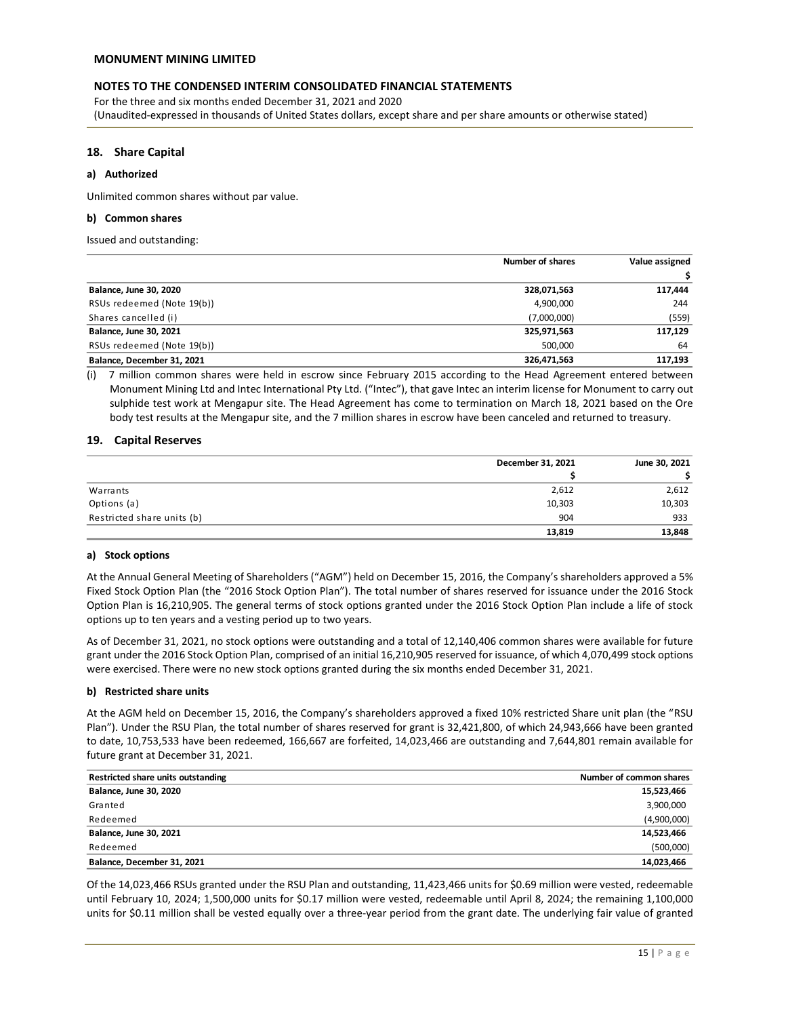For the three and six months ended December 31, 2021 and 2020 (Unaudited-expressed in thousands of United States dollars, except share and per share amounts or otherwise stated)

## **18. Share Capital**

#### **a) Authorized**

Unlimited common shares without par value.

#### **b) Common shares**

Issued and outstanding:

|                            | <b>Number of shares</b> | Value assigned |
|----------------------------|-------------------------|----------------|
|                            |                         |                |
| Balance, June 30, 2020     | 328,071,563             | 117,444        |
| RSUs redeemed (Note 19(b)) | 4,900,000               | 244            |
| Shares cancelled (i)       | (7,000,000)             | (559)          |
| Balance, June 30, 2021     | 325,971,563             | 117,129        |
| RSUs redeemed (Note 19(b)) | 500,000                 | 64             |
| Balance, December 31, 2021 | 326,471,563             | 117,193        |

(i) 7 million common shares were held in escrow since February 2015 according to the Head Agreement entered between Monument Mining Ltd and Intec International Pty Ltd. ("Intec"), that gave Intec an interim license for Monument to carry out sulphide test work at Mengapur site. The Head Agreement has come to termination on March 18, 2021 based on the Ore body test results at the Mengapur site, and the 7 million shares in escrow have been canceled and returned to treasury.

#### **19. Capital Reserves**

|                            | December 31, 2021 | June 30, 2021 |
|----------------------------|-------------------|---------------|
|                            |                   |               |
| Warrants                   | 2,612             | 2,612         |
| Options (a)                | 10,303            | 10,303        |
| Restricted share units (b) | 904               | 933           |
|                            | 13,819            | 13,848        |

#### **a) Stock options**

At the Annual General Meeting of Shareholders ("AGM") held on December 15, 2016, the Company's shareholders approved a 5% Fixed Stock Option Plan (the "2016 Stock Option Plan"). The total number of shares reserved for issuance under the 2016 Stock Option Plan is 16,210,905. The general terms of stock options granted under the 2016 Stock Option Plan include a life of stock options up to ten years and a vesting period up to two years.

As of December 31, 2021, no stock options were outstanding and a total of 12,140,406 common shares were available for future grant under the 2016 Stock Option Plan, comprised of an initial 16,210,905 reserved for issuance, of which 4,070,499 stock options were exercised. There were no new stock options granted during the six months ended December 31, 2021.

#### **b) Restricted share units**

At the AGM held on December 15, 2016, the Company's shareholders approved a fixed 10% restricted Share unit plan (the "RSU Plan"). Under the RSU Plan, the total number of shares reserved for grant is 32,421,800, of which 24,943,666 have been granted to date, 10,753,533 have been redeemed, 166,667 are forfeited, 14,023,466 are outstanding and 7,644,801 remain available for future grant at December 31, 2021.

| Restricted share units outstanding | Number of common shares |
|------------------------------------|-------------------------|
| Balance, June 30, 2020             | 15,523,466              |
| Granted                            | 3,900,000               |
| Redeemed                           | (4,900,000)             |
| Balance, June 30, 2021             | 14,523,466              |
| Redeemed                           | (500,000)               |
| Balance, December 31, 2021         | 14,023,466              |

Of the 14,023,466 RSUs granted under the RSU Plan and outstanding, 11,423,466 units for \$0.69 million were vested, redeemable until February 10, 2024; 1,500,000 units for \$0.17 million were vested, redeemable until April 8, 2024; the remaining 1,100,000 units for \$0.11 million shall be vested equally over a three-year period from the grant date. The underlying fair value of granted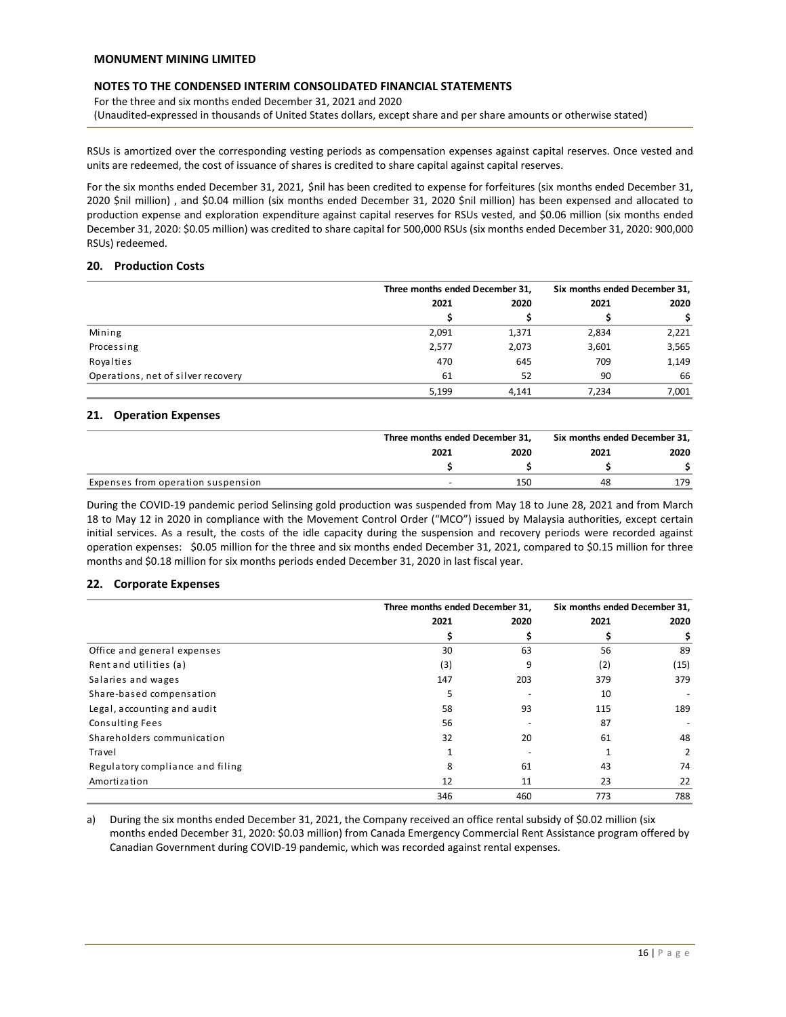For the three and six months ended December 31, 2021 and 2020 (Unaudited-expressed in thousands of United States dollars, except share and per share amounts or otherwise stated)

RSUs is amortized over the corresponding vesting periods as compensation expenses against capital reserves. Once vested and units are redeemed, the cost of issuance of shares is credited to share capital against capital reserves.

For the six months ended December 31, 2021, \$nil has been credited to expense for forfeitures (six months ended December 31, 2020 \$nil million) , and \$0.04 million (six months ended December 31, 2020 \$nil million) has been expensed and allocated to production expense and exploration expenditure against capital reserves for RSUs vested, and \$0.06 million (six months ended December 31, 2020: \$0.05 million) was credited to share capital for 500,000 RSUs (six months ended December 31, 2020: 900,000 RSUs) redeemed.

## **20. Production Costs**

|                                    |       | Three months ended December 31, |       | Six months ended December 31, |      |
|------------------------------------|-------|---------------------------------|-------|-------------------------------|------|
|                                    | 2021  | 2020<br>2021                    |       |                               | 2020 |
|                                    |       |                                 |       |                               |      |
| Mining                             | 2,091 | 1,371                           | 2,834 | 2,221                         |      |
| Processing                         | 2,577 | 2,073                           | 3,601 | 3,565                         |      |
| Royalties                          | 470   | 645                             | 709   | 1,149                         |      |
| Operations, net of silver recovery | 61    | 52                              | 90    | 66                            |      |
|                                    | 5,199 | 4.141                           | 7.234 | 7,001                         |      |

#### **21. Operation Expenses**

|                                    | Three months ended December 31, |      | Six months ended December 31, |      |
|------------------------------------|---------------------------------|------|-------------------------------|------|
|                                    | 2021                            | 2020 | 2021                          | 2020 |
|                                    |                                 |      |                               |      |
| Expenses from operation suspension |                                 | 150  | 48                            | 179  |

During the COVID-19 pandemic period Selinsing gold production was suspended from May 18 to June 28, 2021 and from March 18 to May 12 in 2020 in compliance with the Movement Control Order ("MCO") issued by Malaysia authorities, except certain initial services. As a result, the costs of the idle capacity during the suspension and recovery periods were recorded against operation expenses: \$0.05 million for the three and six months ended December 31, 2021, compared to \$0.15 million for three months and \$0.18 million for six months periods ended December 31, 2020 in last fiscal year.

# **22. Corporate Expenses**

|                                  |      | Three months ended December 31, |      | Six months ended December 31, |
|----------------------------------|------|---------------------------------|------|-------------------------------|
|                                  | 2021 | 2020                            | 2021 | 2020                          |
|                                  |      |                                 |      | \$                            |
| Office and general expenses      | 30   | 63                              | 56   | 89                            |
| Rent and utilities (a)           | (3)  | 9                               | (2)  | (15)                          |
| Salaries and wages               | 147  | 203                             | 379  | 379                           |
| Share-based compensation         | 5    |                                 | 10   |                               |
| Legal, accounting and audit      | 58   | 93                              | 115  | 189                           |
| Consulting Fees                  | 56   |                                 | 87   |                               |
| Shareholders communication       | 32   | 20                              | 61   | 48                            |
| Travel                           |      |                                 |      | 2                             |
| Regulatory compliance and filing | 8    | 61                              | 43   | 74                            |
| Amortization                     | 12   | 11                              | 23   | 22                            |
|                                  | 346  | 460                             | 773  | 788                           |

a) During the six months ended December 31, 2021, the Company received an office rental subsidy of \$0.02 million (six months ended December 31, 2020: \$0.03 million) from Canada Emergency Commercial Rent Assistance program offered by Canadian Government during COVID-19 pandemic, which was recorded against rental expenses.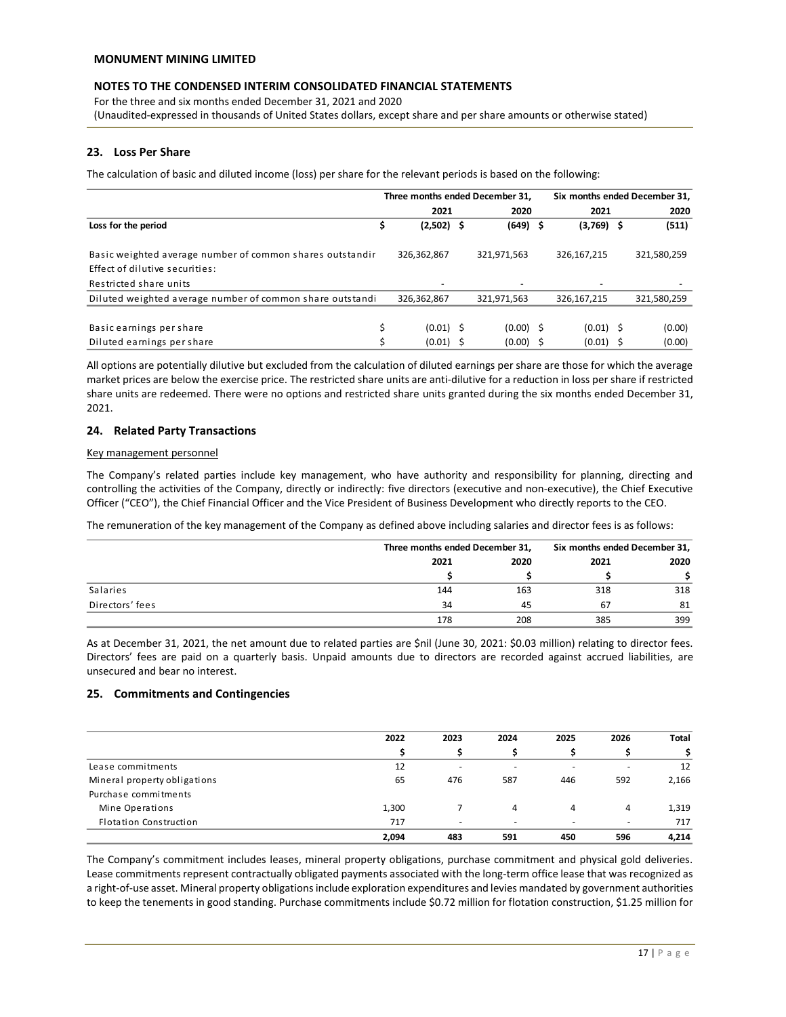For the three and six months ended December 31, 2021 and 2020 (Unaudited-expressed in thousands of United States dollars, except share and per share amounts or otherwise stated)

# **23. Loss Per Share**

The calculation of basic and diluted income (loss) per share for the relevant periods is based on the following:

|                                                                                             |    | Three months ended December 31. |  |             | Six months ended December 31, |  |             |
|---------------------------------------------------------------------------------------------|----|---------------------------------|--|-------------|-------------------------------|--|-------------|
|                                                                                             |    | 2021                            |  | 2020        | 2021                          |  | 2020        |
| Loss for the period                                                                         | \$ | $(2,502)$ \$                    |  | $(649)$ \$  | $(3,769)$ \$                  |  | (511)       |
| Basic weighted average number of common shares outstandir<br>Effect of dilutive securities: |    | 326,362,867                     |  | 321,971,563 | 326,167,215                   |  | 321,580,259 |
| Restricted share units                                                                      |    |                                 |  |             |                               |  |             |
| Diluted weighted average number of common share outstandi                                   |    | 326,362,867                     |  | 321,971,563 | 326,167,215                   |  | 321,580,259 |
|                                                                                             |    |                                 |  |             |                               |  |             |
| Basic earnings per share                                                                    | \$ | $(0.01)$ \$                     |  | $(0.00)$ \$ | $(0.01)$ \$                   |  | (0.00)      |
| Diluted earnings per share                                                                  | Ś  | $(0.01)$ \$                     |  | $(0.00)$ \$ | $(0.01)$ \$                   |  | (0.00)      |

All options are potentially dilutive but excluded from the calculation of diluted earnings per share are those for which the average market prices are below the exercise price. The restricted share units are anti-dilutive for a reduction in loss per share if restricted share units are redeemed. There were no options and restricted share units granted during the six months ended December 31, 2021.

# **24. Related Party Transactions**

#### Key management personnel

The Company's related parties include key management, who have authority and responsibility for planning, directing and controlling the activities of the Company, directly or indirectly: five directors (executive and non-executive), the Chief Executive Officer ("CEO"), the Chief Financial Officer and the Vice President of Business Development who directly reports to the CEO.

The remuneration of the key management of the Company as defined above including salaries and director fees is as follows:

|                 |      | Three months ended December 31, |      | Six months ended December 31, |
|-----------------|------|---------------------------------|------|-------------------------------|
|                 | 2021 | 2020                            | 2021 | 2020                          |
|                 |      |                                 |      |                               |
| Salaries        | 144  | 163                             | 318  | 318                           |
| Directors' fees | 34   | 45                              | 67   | 81                            |
|                 | 178  | 208                             | 385  | 399                           |

As at December 31, 2021, the net amount due to related parties are \$nil (June 30, 2021: \$0.03 million) relating to director fees. Directors' fees are paid on a quarterly basis. Unpaid amounts due to directors are recorded against accrued liabilities, are unsecured and bear no interest.

# **25. Commitments and Contingencies**

|                              | 2022  | 2023                     | 2024           | 2025   | 2026           | Total |
|------------------------------|-------|--------------------------|----------------|--------|----------------|-------|
|                              |       |                          |                |        |                | Ś     |
| Lease commitments            | 12    | $\overline{\phantom{a}}$ | ۰              | -      | $\overline{a}$ | 12    |
| Mineral property obligations | 65    | 476                      | 587            | 446    | 592            | 2,166 |
| Purchase commitments         |       |                          |                |        |                |       |
| Mine Operations              | 1,300 |                          | 4              | 4      | 4              | 1,319 |
| Flotation Construction       | 717   | $\overline{\phantom{a}}$ | $\overline{a}$ | $\sim$ | $\overline{a}$ | 717   |
|                              | 2,094 | 483                      | 591            | 450    | 596            | 4,214 |

The Company's commitment includes leases, mineral property obligations, purchase commitment and physical gold deliveries. Lease commitments represent contractually obligated payments associated with the long-term office lease that was recognized as a right-of-use asset. Mineral property obligations include exploration expenditures and levies mandated by government authorities to keep the tenements in good standing. Purchase commitments include \$0.72 million for flotation construction, \$1.25 million for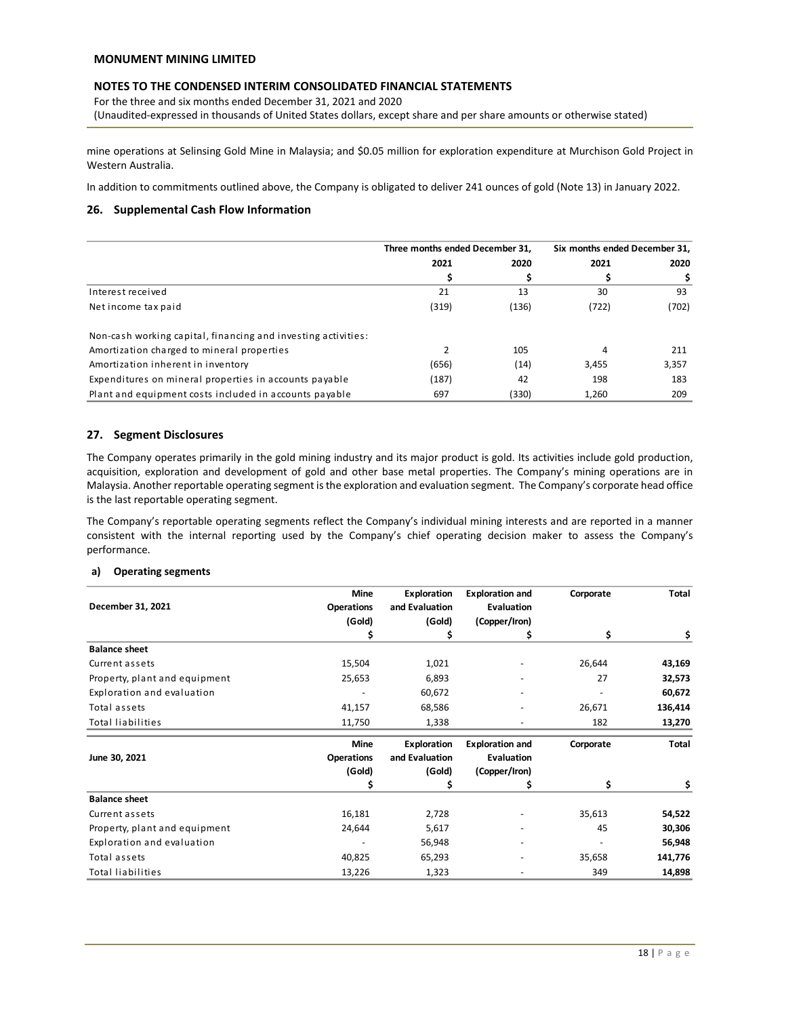For the three and six months ended December 31, 2021 and 2020 (Unaudited-expressed in thousands of United States dollars, except share and per share amounts or otherwise stated)

mine operations at Selinsing Gold Mine in Malaysia; and \$0.05 million for exploration expenditure at Murchison Gold Project in Western Australia.

In addition to commitments outlined above, the Company is obligated to deliver 241 ounces of gold (Note 13) in January 2022.

# **26. Supplemental Cash Flow Information**

|                                                               | Three months ended December 31, |       | Six months ended December 31, |       |
|---------------------------------------------------------------|---------------------------------|-------|-------------------------------|-------|
|                                                               | 2021                            | 2020  | 2021                          | 2020  |
|                                                               |                                 | S     |                               |       |
| Interest received                                             | 21                              | 13    | 30                            | 93    |
| Net income tax paid                                           | (319)                           | (136) | (722)                         | (702) |
| Non-cash working capital, financing and investing activities: |                                 |       |                               |       |
| Amortization charged to mineral properties                    |                                 | 105   | 4                             | 211   |
| Amortization inherent in inventory                            | (656)                           | (14)  | 3,455                         | 3,357 |
| Expenditures on mineral properties in accounts payable        | (187)                           | 42    | 198                           | 183   |
| Plant and equipment costs included in accounts payable        | 697                             | (330) | 1.260                         | 209   |

# **27. Segment Disclosures**

The Company operates primarily in the gold mining industry and its major product is gold. Its activities include gold production, acquisition, exploration and development of gold and other base metal properties. The Company's mining operations are in Malaysia. Another reportable operating segment isthe exploration and evaluation segment. The Company's corporate head office is the last reportable operating segment.

The Company's reportable operating segments reflect the Company's individual mining interests and are reported in a manner consistent with the internal reporting used by the Company's chief operating decision maker to assess the Company's performance.

#### **a) Operating segments**

|                               | <b>Mine</b>       | <b>Exploration</b> | <b>Exploration and</b> | Corporate | <b>Total</b> |
|-------------------------------|-------------------|--------------------|------------------------|-----------|--------------|
| December 31, 2021             | <b>Operations</b> | and Evaluation     | Evaluation             |           |              |
|                               | (Gold)            | (Gold)             | (Copper/Iron)          |           |              |
|                               | S                 | \$                 | s                      | \$        | Ş.           |
| <b>Balance sheet</b>          |                   |                    |                        |           |              |
| Current assets                | 15,504            | 1,021              |                        | 26,644    | 43,169       |
| Property, plant and equipment | 25,653            | 6,893              |                        | 27        | 32,573       |
| Exploration and evaluation    |                   | 60,672             |                        |           | 60,672       |
| Total assets                  | 41,157            | 68,586             |                        | 26,671    | 136,414      |
| Total liabilities             | 11,750            | 1,338              |                        | 182       | 13,270       |
|                               | <b>Mine</b>       | <b>Exploration</b> | <b>Exploration and</b> | Corporate | Total        |
| June 30, 2021                 | <b>Operations</b> | and Evaluation     | Evaluation             |           |              |
|                               | (Gold)            | (Gold)             | (Copper/Iron)          |           |              |
|                               | S                 | \$                 | \$                     | \$        |              |
| <b>Balance sheet</b>          |                   |                    |                        |           |              |
| Current assets                | 16,181            | 2,728              |                        | 35,613    | 54,522       |
| Property, plant and equipment | 24,644            | 5,617              |                        | 45        | 30,306       |
| Exploration and evaluation    |                   | 56,948             |                        |           | 56,948       |
| Total assets                  | 40,825            | 65,293             |                        | 35,658    | 141,776      |
| Total liabilities             | 13,226            | 1,323              |                        | 349       | 14,898       |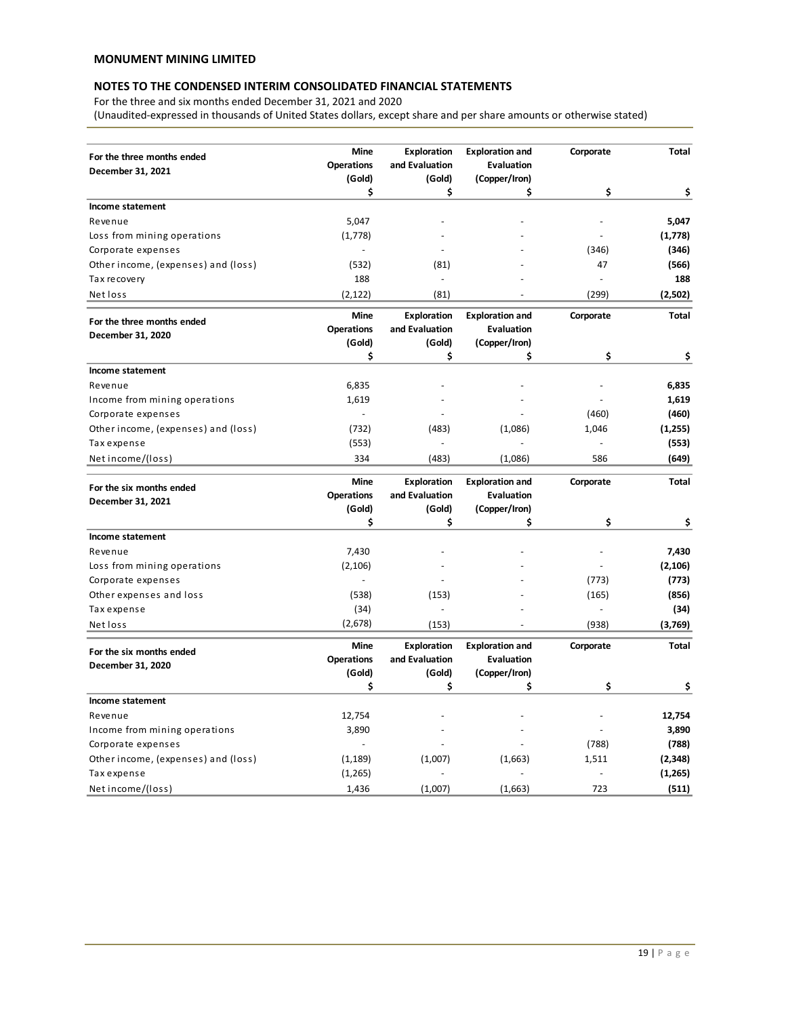For the three and six months ended December 31, 2021 and 2020

(Unaudited-expressed in thousands of United States dollars, except share and per share amounts or otherwise stated)

|                                     | Mine              | <b>Exploration</b> | <b>Exploration and</b> | Corporate                | Total        |
|-------------------------------------|-------------------|--------------------|------------------------|--------------------------|--------------|
| For the three months ended          | <b>Operations</b> | and Evaluation     | <b>Evaluation</b>      |                          |              |
| December 31, 2021                   | (Gold)            | (Gold)             | (Copper/Iron)          |                          |              |
|                                     | \$                | \$                 | \$                     | \$                       | \$           |
| Income statement                    |                   |                    |                        |                          |              |
| Revenue                             | 5,047             |                    |                        |                          | 5,047        |
| Loss from mining operations         | (1,778)           |                    |                        | ÷,                       | (1,778)      |
| Corporate expenses                  |                   |                    |                        | (346)                    | (346)        |
| Other income, (expenses) and (loss) | (532)             | (81)               |                        | 47                       | (566)        |
| Tax recovery                        | 188               |                    |                        | $\overline{\phantom{a}}$ | 188          |
| Net loss                            | (2, 122)          | (81)               |                        | (299)                    | (2,502)      |
| For the three months ended          | <b>Mine</b>       | <b>Exploration</b> | <b>Exploration and</b> | Corporate                | <b>Total</b> |
| December 31, 2020                   | <b>Operations</b> | and Evaluation     | <b>Evaluation</b>      |                          |              |
|                                     | (Gold)            | (Gold)             | (Copper/Iron)          |                          |              |
|                                     | \$                | \$                 | \$                     | \$                       | \$           |
| Income statement                    |                   |                    |                        |                          |              |
| Revenue                             | 6,835             |                    |                        |                          | 6,835        |
| Income from mining operations       | 1,619             |                    |                        |                          | 1,619        |
| Corporate expenses                  | $\overline{a}$    |                    |                        | (460)                    | (460)        |
| Other income, (expenses) and (loss) | (732)             | (483)              | (1,086)                | 1,046                    | (1,255)      |
| Tax expense                         | (553)             |                    |                        | $\overline{\phantom{a}}$ | (553)        |
| Net income/(loss)                   | 334               | (483)              | (1,086)                | 586                      | (649)        |
| For the six months ended            | <b>Mine</b>       | <b>Exploration</b> | <b>Exploration and</b> | Corporate                | <b>Total</b> |
| December 31, 2021                   | <b>Operations</b> | and Evaluation     | <b>Evaluation</b>      |                          |              |
|                                     | (Gold)            | (Gold)             | (Copper/Iron)          |                          |              |
|                                     | \$                | \$                 | \$                     | \$                       | \$           |
| Income statement                    |                   |                    |                        |                          |              |
| Revenue                             | 7,430             |                    |                        |                          | 7,430        |
| Loss from mining operations         | (2,106)           |                    |                        |                          | (2, 106)     |
| Corporate expenses                  | $\overline{a}$    |                    |                        | (773)                    | (773)        |
| Other expenses and loss             | (538)             | (153)              |                        | (165)                    | (856)        |
| Tax expense                         | (34)              |                    |                        | ÷,                       | (34)         |
| Net loss                            | (2,678)           | (153)              |                        | (938)                    | (3,769)      |
| For the six months ended            | <b>Mine</b>       | Exploration        | <b>Exploration and</b> | Corporate                | <b>Total</b> |
| December 31, 2020                   | <b>Operations</b> | and Evaluation     | <b>Evaluation</b>      |                          |              |
|                                     | (Gold)            | (Gold)             | (Copper/Iron)          |                          |              |
|                                     | \$                | \$                 | \$                     | \$                       | \$           |
| Income statement                    |                   |                    |                        |                          |              |
| Revenue                             | 12,754            |                    |                        |                          | 12,754       |
| Income from mining operations       | 3,890             |                    |                        |                          | 3,890        |
| Corporate expenses                  |                   |                    |                        | (788)                    | (788)        |
| Other income, (expenses) and (loss) | (1, 189)          | (1,007)            | (1,663)                | 1,511                    | (2, 348)     |
| Tax expense                         | (1,265)           |                    |                        | $\overline{\phantom{a}}$ | (1, 265)     |
| Net income/(loss)                   | 1,436             | (1,007)            | (1,663)                | 723                      | (511)        |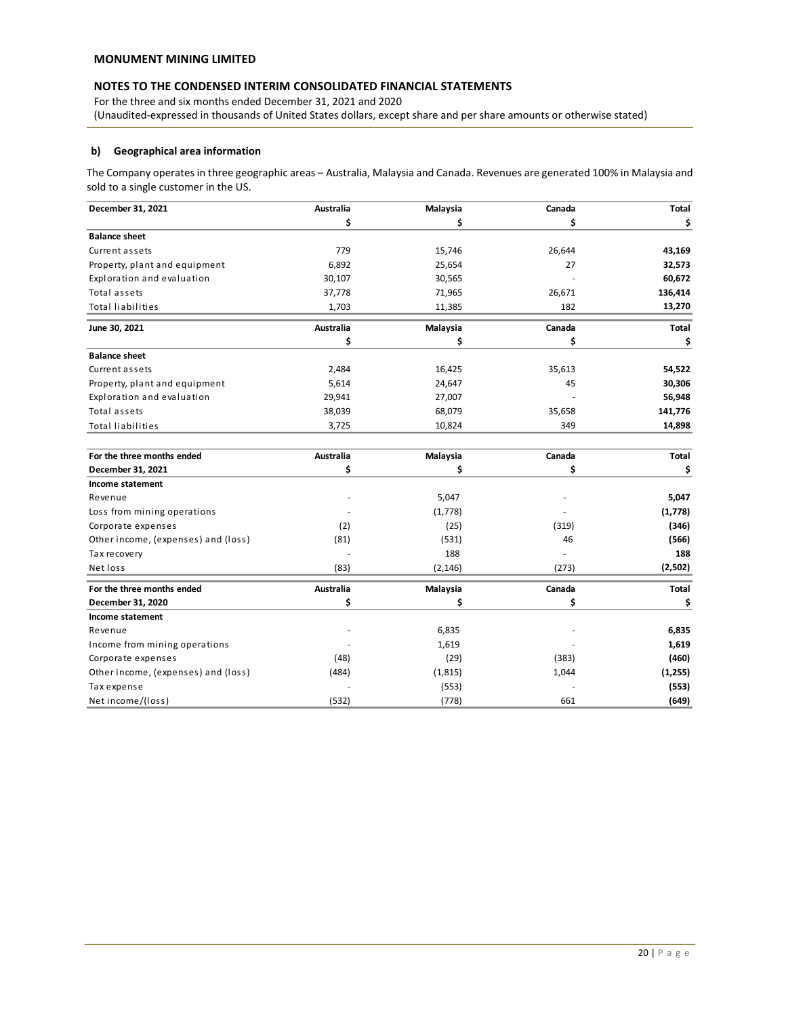For the three and six months ended December 31, 2021 and 2020 (Unaudited-expressed in thousands of United States dollars, except share and per share amounts or otherwise stated)

# **b) Geographical area information**

The Company operates in three geographic areas – Australia, Malaysia and Canada. Revenues are generated 100% in Malaysia and sold to a single customer in the US.

| December 31, 2021                   | Australia        | Malaysia | Canada | Total        |
|-------------------------------------|------------------|----------|--------|--------------|
|                                     | \$               | \$       | \$     | \$           |
| <b>Balance sheet</b>                |                  |          |        |              |
| Current assets                      | 779              | 15,746   | 26,644 | 43,169       |
| Property, plant and equipment       | 6,892            | 25,654   | 27     | 32,573       |
| Exploration and evaluation          | 30,107           | 30,565   |        | 60,672       |
| Total assets                        | 37,778           | 71,965   | 26,671 | 136,414      |
| <b>Total liabilities</b>            | 1,703            | 11,385   | 182    | 13,270       |
| June 30, 2021                       | <b>Australia</b> | Malaysia | Canada | Total        |
|                                     | \$               | \$       | \$     | \$           |
| <b>Balance sheet</b>                |                  |          |        |              |
| Current assets                      | 2,484            | 16,425   | 35,613 | 54,522       |
| Property, plant and equipment       | 5,614            | 24,647   | 45     | 30,306       |
| Exploration and evaluation          | 29,941           | 27,007   |        | 56,948       |
| Total assets                        | 38,039           | 68,079   | 35,658 | 141,776      |
| <b>Total liabilities</b>            | 3,725            | 10,824   | 349    | 14,898       |
| For the three months ended          | Australia        | Malaysia | Canada | <b>Total</b> |
| December 31, 2021                   | \$               | \$       | \$     | \$           |
| Income statement                    |                  |          |        |              |
| Revenue                             |                  | 5,047    |        | 5,047        |
| Loss from mining operations         |                  | (1,778)  |        | (1,778)      |
| Corporate expenses                  | (2)              | (25)     | (319)  | (346)        |
| Other income, (expenses) and (loss) | (81)             | (531)    | 46     | (566)        |
| Tax recovery                        |                  | 188      |        | 188          |
| Net loss                            | (83)             | (2, 146) | (273)  | (2,502)      |
| For the three months ended          | Australia        | Malaysia | Canada | Total        |
| December 31, 2020                   | \$               | \$       | \$     | \$           |
| Income statement                    |                  |          |        |              |
| Revenue                             |                  | 6,835    |        | 6,835        |
| Income from mining operations       |                  | 1,619    |        | 1,619        |
| Corporate expenses                  | (48)             | (29)     | (383)  | (460)        |
| Other income, (expenses) and (loss) | (484)            | (1, 815) | 1,044  | (1,255)      |
| Tax expense                         |                  | (553)    |        | (553)        |
| Net income/(loss)                   | (532)            | (778)    | 661    | (649)        |